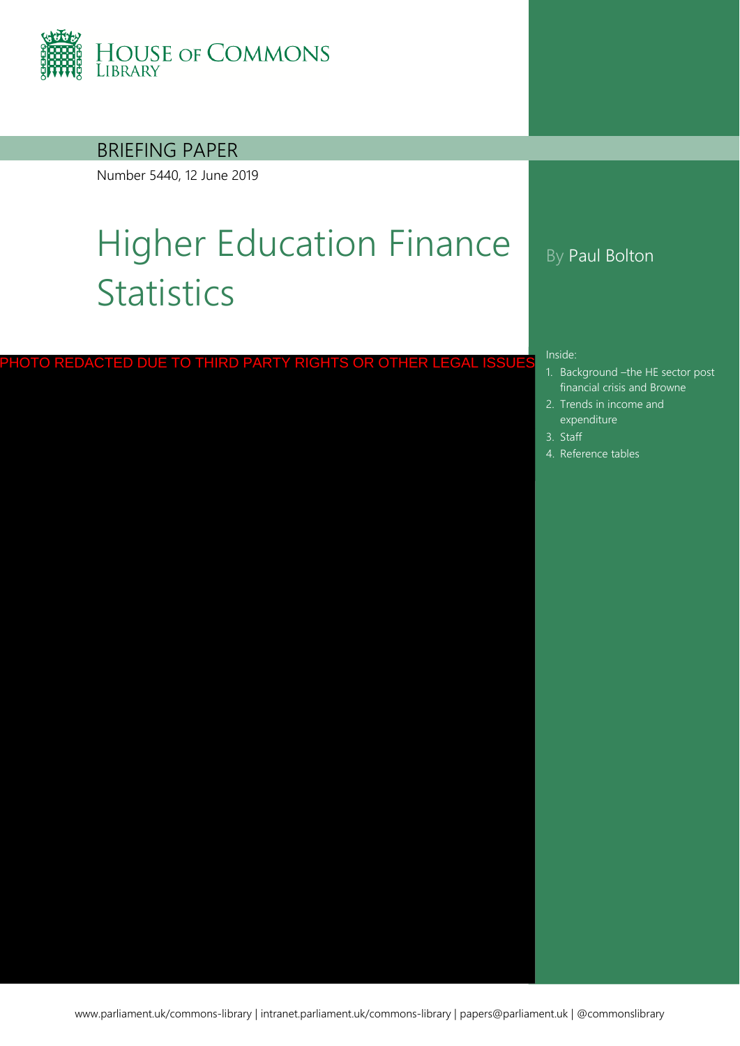

### BRIEFING PAPER

Number 5440, 12 June 2019

# Higher Education Finance **Statistics**

PHOTO REDACTED DUE TO THIRD PARTY RIGHTS OR OTHER LEGAL ISSUES

### By Paul Bolton

#### Inside:

- 1. Background –[the HE sector post](#page-4-0)  financial crisis and Browne
- 2. [Trends in income and](#page-8-0)  expenditure
- 3. [Staff](#page-14-0)
- 4. [Reference tables](#page-16-0)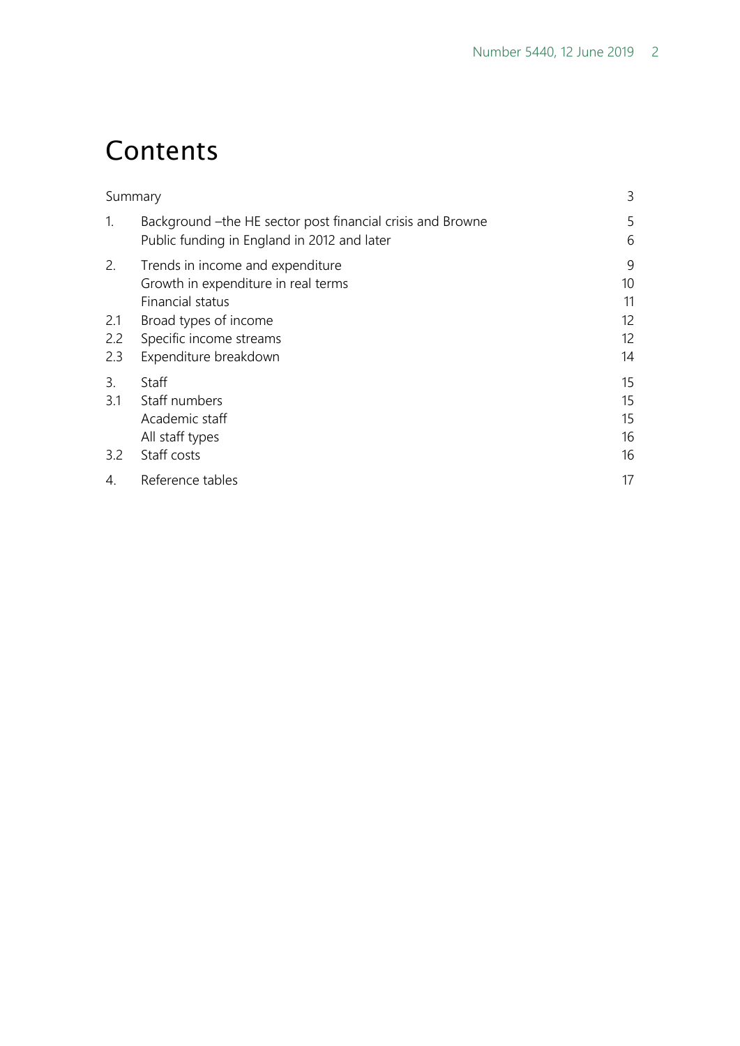## **Contents**

|                   | Summary                                                                                                    | 3                          |
|-------------------|------------------------------------------------------------------------------------------------------------|----------------------------|
| $\mathbf{1}$ .    | Background - the HE sector post financial crisis and Browne<br>Public funding in England in 2012 and later | 5<br>6                     |
| 2.                | Trends in income and expenditure<br>Growth in expenditure in real terms<br>Financial status                | 9<br>10<br>11              |
| 2.1<br>2.2<br>2.3 | Broad types of income<br>Specific income streams<br>Expenditure breakdown                                  | 12<br>12<br>14             |
| 3.<br>3.1<br>3.2  | Staff<br>Staff numbers<br>Academic staff<br>All staff types<br>Staff costs                                 | 15<br>15<br>15<br>16<br>16 |
| 4.                | Reference tables                                                                                           | 17                         |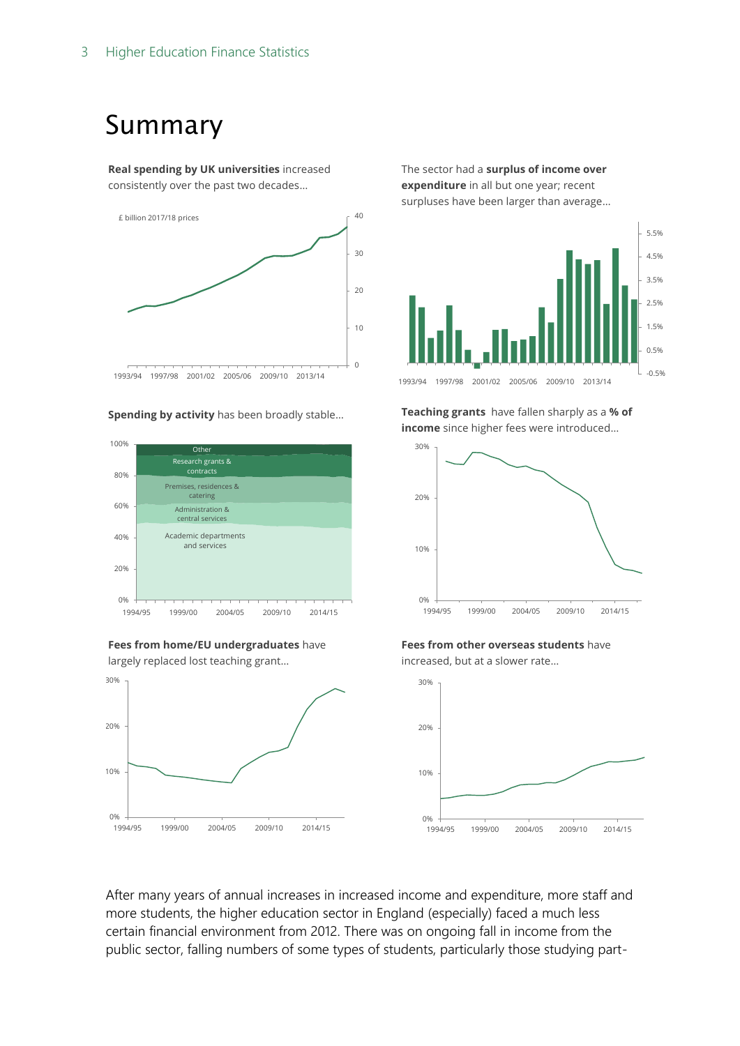## <span id="page-2-0"></span>Summary

**Real spending by UK universities** increased consistently over the past two decades…



#### **Spending by activity** has been broadly stable…







The sector had a **surplus of income over expenditure** in all but one year; recent surpluses have been larger than average…



**Teaching grants** have fallen sharply as a **% of income** since higher fees were introduced…



**Fees from other overseas students** have increased, but at a slower rate…



After many years of annual increases in increased income and expenditure, more staff and more students, the higher education sector in England (especially) faced a much less certain financial environment from 2012. There was on ongoing fall in income from the public sector, falling numbers of some types of students, particularly those studying part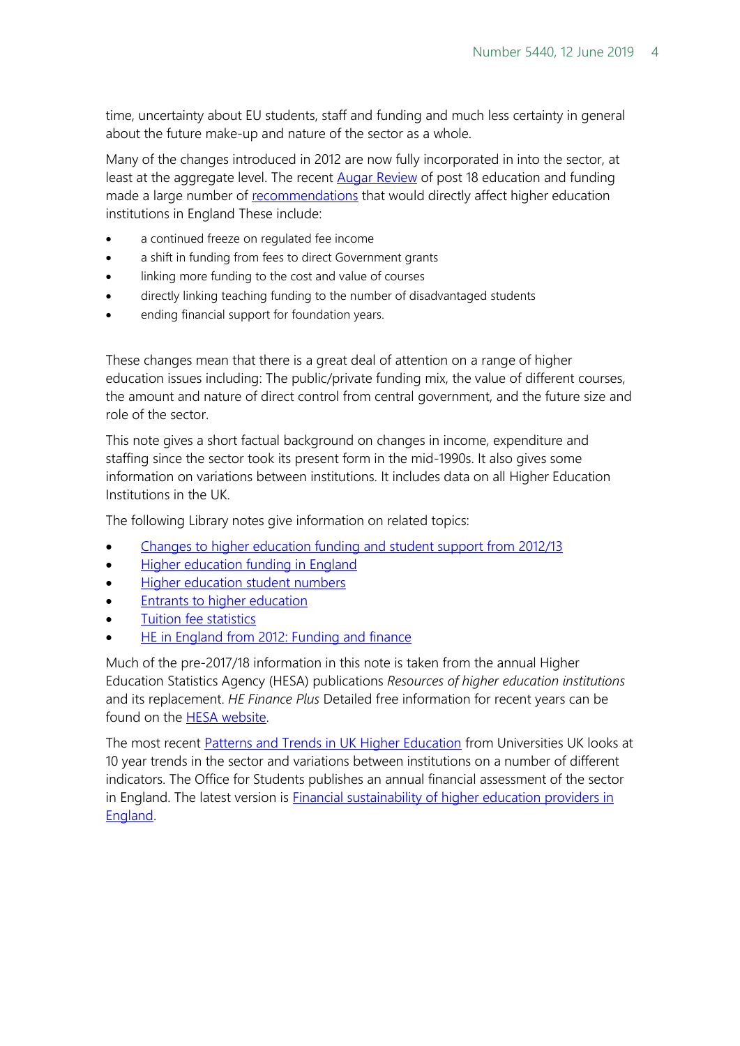time, uncertainty about EU students, staff and funding and much less certainty in general about the future make-up and nature of the sector as a whole.

Many of the changes introduced in 2012 are now fully incorporated in into the sector, at least at the aggregate level. The recent **Augar Review** of post 18 education and funding made a large number of [recommendations](https://researchbriefings.parliament.uk/ResearchBriefing/Summary/CBP-8577) that would directly affect higher education institutions in England These include:

- a continued freeze on regulated fee income
- a shift in funding from fees to direct Government grants
- linking more funding to the cost and value of courses
- directly linking teaching funding to the number of disadvantaged students
- ending financial support for foundation years.

These changes mean that there is a great deal of attention on a range of higher education issues including: The public/private funding mix, the value of different courses, the amount and nature of direct control from central government, and the future size and role of the sector.

This note gives a short factual background on changes in income, expenditure and staffing since the sector took its present form in the mid-1990s. It also gives some information on variations between institutions. It includes data on all Higher Education Institutions in the UK.

The following Library notes give information on related topics:

- [Changes to higher education funding and student support from 2012/13](http://www.parliament.uk/briefing-papers/SN05753)
- [Higher education funding in England](https://researchbriefings.parliament.uk/ResearchBriefing/Summary/CBP-7973)
- [Higher education student numbers](http://researchbriefings.parliament.uk/ResearchBriefing/Summary/CBP-7857)
- [Entrants to higher education](http://www.parliament.uk/briefing-papers/SN01446)
- [Tuition fee statistics](http://www.parliament.uk/briefing-papers/SN00917)
- [HE in England from 2012: Funding and finance](http://www.parliament.uk/briefing-papers/SN06206)

Much of the pre-2017/18 information in this note is taken from the annual Higher Education Statistics Agency (HESA) publications *Resources of higher education institutions*  and its replacement. *HE Finance Plus* Detailed free information for recent years can be found on the [HESA website.](https://www.hesa.ac.uk/data-and-analysis)

The most recent [Patterns and Trends in UK Higher Education](https://www.universitiesuk.ac.uk/facts-and-stats/data-and-analysis/Pages/Patterns-and-trends-in-UK-higher-education-2018.aspx) from Universities UK looks at 10 year trends in the sector and variations between institutions on a number of different indicators. The Office for Students publishes an annual financial assessment of the sector in England. The latest version is [Financial sustainability of higher education providers in](https://www.officeforstudents.org.uk/publications/financial-sustainability-of-higher-education-providers-in-england/)  [England.](https://www.officeforstudents.org.uk/publications/financial-sustainability-of-higher-education-providers-in-england/)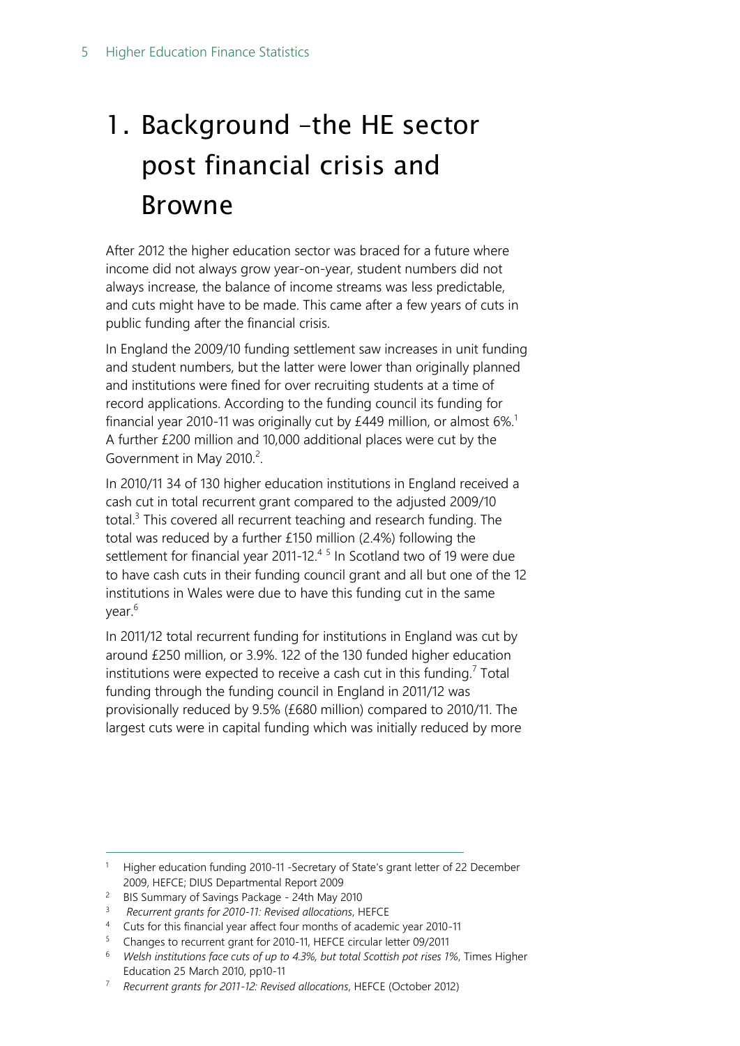# <span id="page-4-0"></span>1. Background –the HE sector post financial crisis and Browne

After 2012 the higher education sector was braced for a future where income did not always grow year-on-year, student numbers did not always increase, the balance of income streams was less predictable, and cuts might have to be made. This came after a few years of cuts in public funding after the financial crisis.

In England the 2009/10 funding settlement saw increases in unit funding and student numbers, but the latter were lower than originally planned and institutions were fined for over recruiting students at a time of record applications. According to the funding council its funding for financial year 2010-11 was originally cut by  $£449$  million, or almost  $6\%$ <sup>1</sup> A further £200 million and 10,000 additional places were cut by the Government in May 2010.<sup>2</sup>.

In 2010/11 34 of 130 higher education institutions in England received a cash cut in total recurrent grant compared to the adjusted 2009/10 total.<sup>3</sup> This covered all recurrent teaching and research funding. The total was reduced by a further £150 million (2.4%) following the settlement for financial year 2011-12.<sup>45</sup> In Scotland two of 19 were due to have cash cuts in their funding council grant and all but one of the 12 institutions in Wales were due to have this funding cut in the same year.<sup>6</sup>

In 2011/12 total recurrent funding for institutions in England was cut by around £250 million, or 3.9%. 122 of the 130 funded higher education institutions were expected to receive a cash cut in this funding.<sup>7</sup> Total funding through the funding council in England in 2011/12 was provisionally reduced by 9.5% (£680 million) compared to 2010/11. The largest cuts were in capital funding which was initially reduced by more

-

<sup>&</sup>lt;sup>1</sup> Higher education funding 2010-11 -Secretary of State's grant letter of 22 December 2009, HEFCE; DIUS Departmental Report 2009

<sup>2</sup> BIS Summary of Savings Package - 24th May 2010

<sup>3</sup> *Recurrent grants for 2010-11: Revised allocations*, HEFCE

<sup>4</sup> Cuts for this financial year affect four months of academic year 2010-11

<sup>5</sup> Changes to recurrent grant for 2010-11, HEFCE circular letter 09/2011

<sup>6</sup> *Welsh institutions face cuts of up to 4.3%, but total Scottish pot rises 1%*, Times Higher Education 25 March 2010, pp10-11

<sup>7</sup> *Recurrent grants for 2011-12: Revised allocations*, HEFCE (October 2012)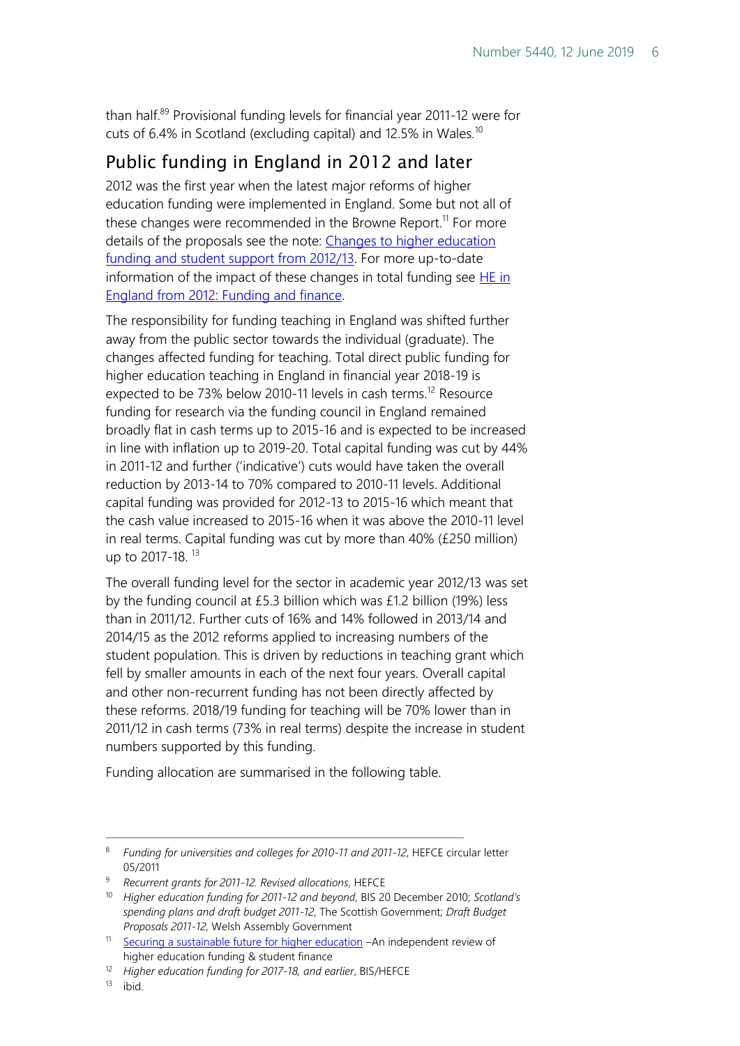than half.<sup>89</sup> Provisional funding levels for financial year 2011-12 were for cuts of 6.4% in Scotland (excluding capital) and 12.5% in Wales.<sup>10</sup>

### <span id="page-5-0"></span>Public funding in England in 2012 and later

2012 was the first year when the latest major reforms of higher education funding were implemented in England. Some but not all of these changes were recommended in the Browne Report.<sup>11</sup> For more details of the proposals see the note: Changes to higher education [funding and student support from 2012/13.](http://www.parliament.uk/briefingpapers/commons/lib/research/briefings/snsg-05753.pdf) For more up-to-date information of the impact of these changes in total funding see  $HE$  in [England from 2012: Funding and finance.](http://www.parliament.uk/briefing-papers/SN06206)

The responsibility for funding teaching in England was shifted further away from the public sector towards the individual (graduate). The changes affected funding for teaching. Total direct public funding for higher education teaching in England in financial year 2018-19 is expected to be 73% below 2010-11 levels in cash terms.<sup>12</sup> Resource funding for research via the funding council in England remained broadly flat in cash terms up to 2015-16 and is expected to be increased in line with inflation up to 2019-20. Total capital funding was cut by 44% in 2011-12 and further ('indicative') cuts would have taken the overall reduction by 2013-14 to 70% compared to 2010-11 levels. Additional capital funding was provided for 2012-13 to 2015-16 which meant that the cash value increased to 2015-16 when it was above the 2010-11 level in real terms. Capital funding was cut by more than 40% (£250 million) up to 2017-18. <sup>13</sup>

The overall funding level for the sector in academic year 2012/13 was set by the funding council at £5.3 billion which was £1.2 billion (19%) less than in 2011/12. Further cuts of 16% and 14% followed in 2013/14 and 2014/15 as the 2012 reforms applied to increasing numbers of the student population. This is driven by reductions in teaching grant which fell by smaller amounts in each of the next four years. Overall capital and other non-recurrent funding has not been directly affected by these reforms. 2018/19 funding for teaching will be 70% lower than in 2011/12 in cash terms (73% in real terms) despite the increase in student numbers supported by this funding.

Funding allocation are summarised in the following table.

<sup>8</sup> *Funding for universities and colleges for 2010-11 and 2011-12*, HEFCE circular letter 05/2011

<sup>9</sup> *Recurrent grants for 2011-12. Revised allocations*, HEFCE

<sup>10</sup> *Higher education funding for 2011-12 and beyond*, BIS 20 December 2010; *Scotland's spending plans and draft budget 2011-12*, The Scottish Government; *Draft Budget Proposals 2011-12*, Welsh Assembly Government

<sup>&</sup>lt;sup>11</sup> [Securing a sustainable future for higher education](http://www.bis.gov.uk/assets/biscore/corporate/docs/s/10-1208-securing-sustainable-higher-education-browne-report.pdf) –An independent review of higher education funding & student finance

<sup>12</sup> *Higher education funding for 2017-18, and earlier*, BIS/HEFCE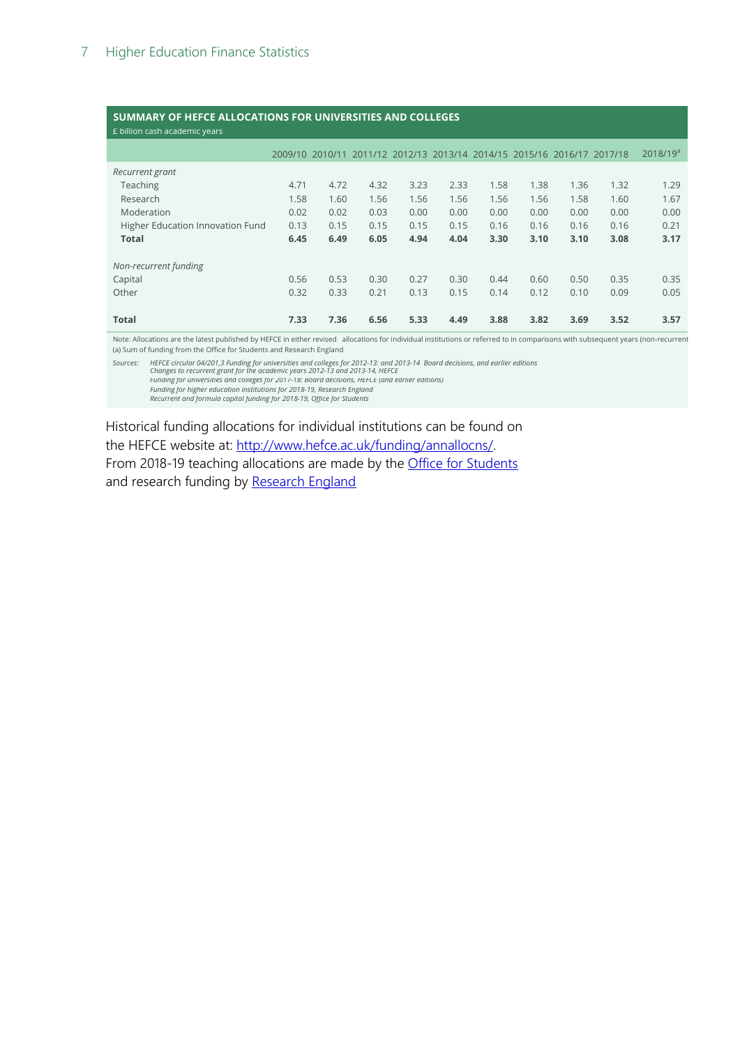#### **SUMMARY OF HEFCE ALLOCATIONS FOR UNIVERSITIES AND COLLEGES**

| E billion cash academic years    |      |                 |                                                         |      |      |      |      |      |      |               |
|----------------------------------|------|-----------------|---------------------------------------------------------|------|------|------|------|------|------|---------------|
|                                  |      | 2009/10 2010/11 | 2011/12 2012/13 2013/14 2014/15 2015/16 2016/17 2017/18 |      |      |      |      |      |      | $2018/19^{a}$ |
| Recurrent grant                  |      |                 |                                                         |      |      |      |      |      |      |               |
| Teaching                         | 4.71 | 4.72            | 4.32                                                    | 3.23 | 2.33 | 1.58 | 1.38 | 1.36 | 1.32 | 1.29          |
| Research                         | 1.58 | 1.60            | 1.56                                                    | 1.56 | 1.56 | 1.56 | 1.56 | 1.58 | 1.60 | 1.67          |
| Moderation                       | 0.02 | 0.02            | 0.03                                                    | 0.00 | 0.00 | 0.00 | 0.00 | 0.00 | 0.00 | 0.00          |
| Higher Education Innovation Fund | 0.13 | 0.15            | 0.15                                                    | 0.15 | 0.15 | 0.16 | 0.16 | 0.16 | 0.16 | 0.21          |
| <b>Total</b>                     | 6.45 | 6.49            | 6.05                                                    | 4.94 | 4.04 | 3.30 | 3.10 | 3.10 | 3.08 | 3.17          |
| Non-recurrent funding            |      |                 |                                                         |      |      |      |      |      |      |               |
| Capital                          | 0.56 | 0.53            | 0.30                                                    | 0.27 | 0.30 | 0.44 | 0.60 | 0.50 | 0.35 | 0.35          |
| Other                            | 0.32 | 0.33            | 0.21                                                    | 0.13 | 0.15 | 0.14 | 0.12 | 0.10 | 0.09 | 0.05          |
| Total                            | 7.33 | 7.36            | 6.56                                                    | 5.33 | 4.49 | 3.88 | 3.82 | 3.69 | 3.52 | 3.57          |

Note: Allocations are the latest published by HEFCE in either revised allocations for individual institutions or referred to in comparisons with subsequent years (non-recurrent (a) Sum of funding from the Office for Students and Research England

Sources: HEFCE circular 04/201,3 Funding for universities and colleges for 2012-13: and 2013-14 Board decisions, and earlier editions<br>Changes to recurrent grant for the academic years 2013-13 and 2013-14, HEFCE<br>Fundi

*Funding for higher education institutions for 2018-19, Research England Recurrent and formula capital funding for 2018-19, Office for Students*

Historical funding allocations for individual institutions can be found on the HEFCE website at: [http://www.hefce.ac.uk/funding/annallocns/.](http://www.hefce.ac.uk/funding/annallocns/) From 2018-19 teaching allocations are made by the **Office for Students** and research funding by Research England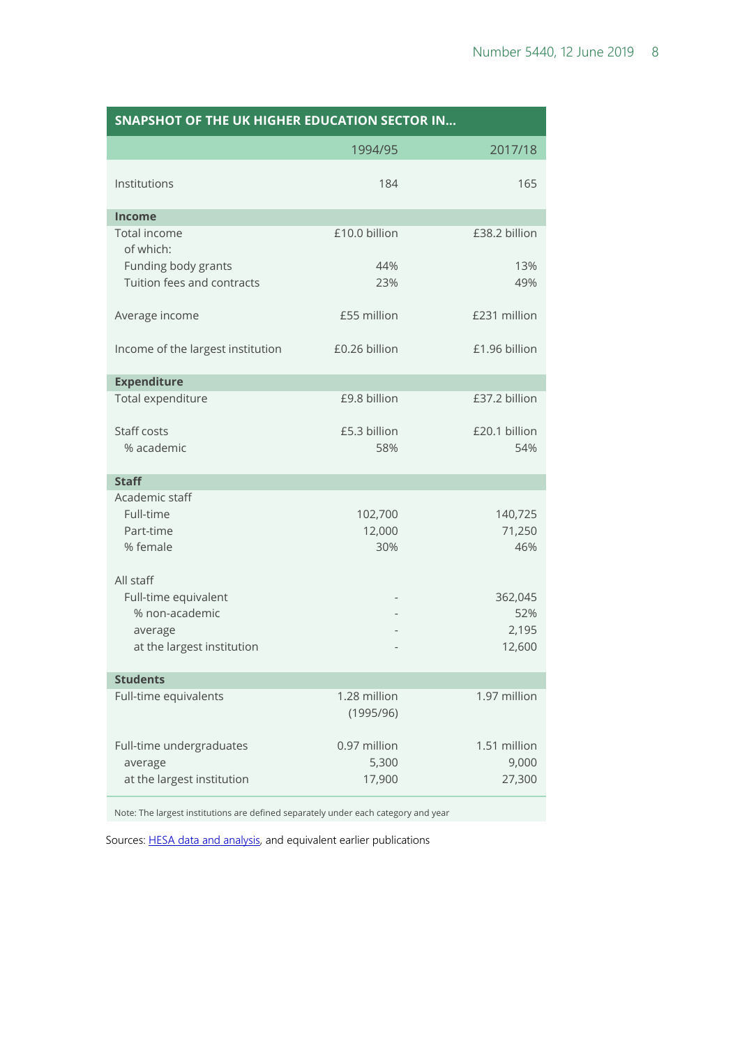| <b>SNAPSHOT OF THE UK HIGHER EDUCATION SECTOR IN</b> |                           |                      |  |  |  |  |  |  |
|------------------------------------------------------|---------------------------|----------------------|--|--|--|--|--|--|
|                                                      | 1994/95                   | 2017/18              |  |  |  |  |  |  |
| Institutions                                         | 184                       | 165                  |  |  |  |  |  |  |
| <b>Income</b>                                        |                           |                      |  |  |  |  |  |  |
| Total income<br>of which:                            | £10.0 billion             | £38.2 billion        |  |  |  |  |  |  |
| Funding body grants<br>Tuition fees and contracts    | 44%<br>23%                | 13%<br>49%           |  |  |  |  |  |  |
| Average income                                       | £55 million               | £231 million         |  |  |  |  |  |  |
| Income of the largest institution                    | £0.26 billion             | £1.96 billion        |  |  |  |  |  |  |
| <b>Expenditure</b>                                   |                           |                      |  |  |  |  |  |  |
| Total expenditure                                    | £9.8 billion              | £37.2 billion        |  |  |  |  |  |  |
| Staff costs<br>% academic                            | £5.3 billion<br>58%       | £20.1 billion<br>54% |  |  |  |  |  |  |
| <b>Staff</b>                                         |                           |                      |  |  |  |  |  |  |
| Academic staff                                       |                           |                      |  |  |  |  |  |  |
| Full-time                                            | 102,700                   | 140,725              |  |  |  |  |  |  |
| Part-time                                            | 12,000                    | 71,250               |  |  |  |  |  |  |
| % female                                             | 30%                       | 46%                  |  |  |  |  |  |  |
| All staff                                            |                           |                      |  |  |  |  |  |  |
| Full-time equivalent                                 |                           | 362,045              |  |  |  |  |  |  |
| % non-academic                                       |                           | 52%                  |  |  |  |  |  |  |
| average                                              |                           | 2,195                |  |  |  |  |  |  |
| at the largest institution                           |                           | 12,600               |  |  |  |  |  |  |
| <b>Students</b>                                      |                           |                      |  |  |  |  |  |  |
| Full-time equivalents                                | 1.28 million<br>(1995/96) | 1.97 million         |  |  |  |  |  |  |
| Full-time undergraduates                             | 0.97 million              | 1.51 million         |  |  |  |  |  |  |
| average                                              | 5,300                     | 9,000                |  |  |  |  |  |  |
| at the largest institution                           | 17,900                    | 27,300               |  |  |  |  |  |  |

Note: The largest institutions are defined separately under each category and year

Sources[: HESA data and analysis,](https://www.hesa.ac.uk/data-and-analysis) and equivalent earlier publications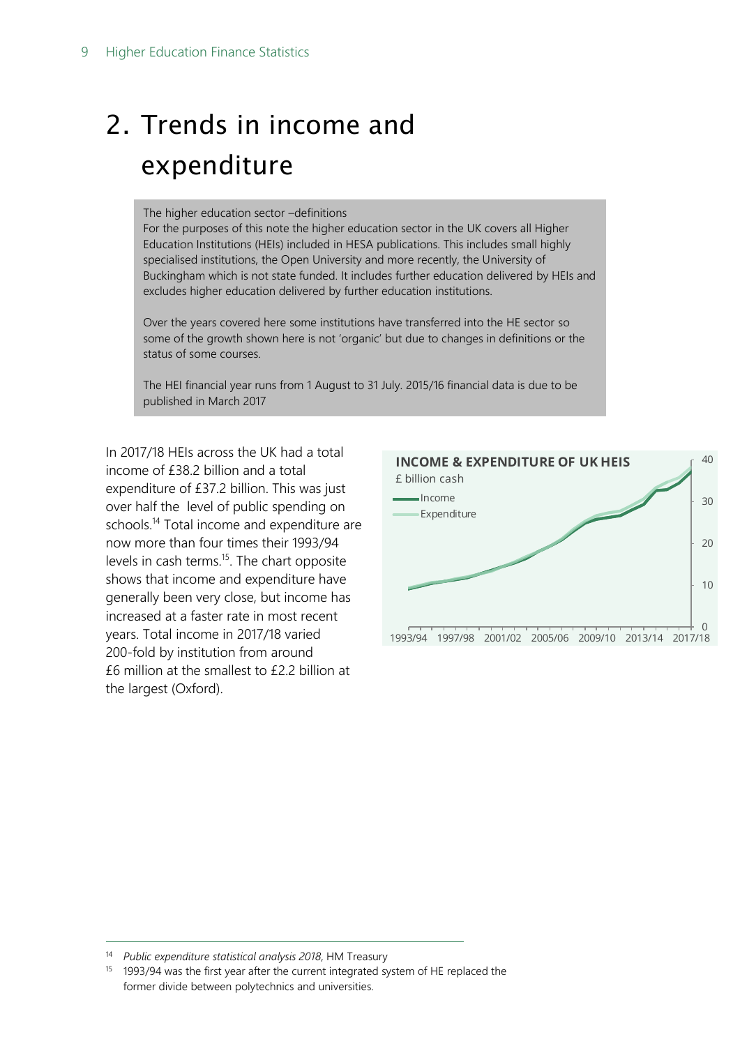# <span id="page-8-0"></span>2. Trends in income and expenditure

#### The higher education sector –definitions

For the purposes of this note the higher education sector in the UK covers all Higher Education Institutions (HEIs) included in HESA publications. This includes small highly specialised institutions, the Open University and more recently, the University of Buckingham which is not state funded. It includes further education delivered by HEIs and excludes higher education delivered by further education institutions.

Over the years covered here some institutions have transferred into the HE sector so some of the growth shown here is not 'organic' but due to changes in definitions or the status of some courses.

The HEI financial year runs from 1 August to 31 July. 2015/16 financial data is due to be published in March 2017

In 2017/18 HEIs across the UK had a total income of £38.2 billion and a total expenditure of £37.2 billion. This was just over half the level of public spending on schools.<sup>14</sup> Total income and expenditure are now more than four times their 1993/94 levels in cash terms.<sup>15</sup>. The chart opposite shows that income and expenditure have generally been very close, but income has increased at a faster rate in most recent years. Total income in 2017/18 varied 200-fold by institution from around £6 million at the smallest to £2.2 billion at the largest (Oxford).



<sup>14</sup> *Public expenditure statistical analysis 2018*, HM Treasury

<sup>&</sup>lt;sup>15</sup> 1993/94 was the first year after the current integrated system of HE replaced the former divide between polytechnics and universities.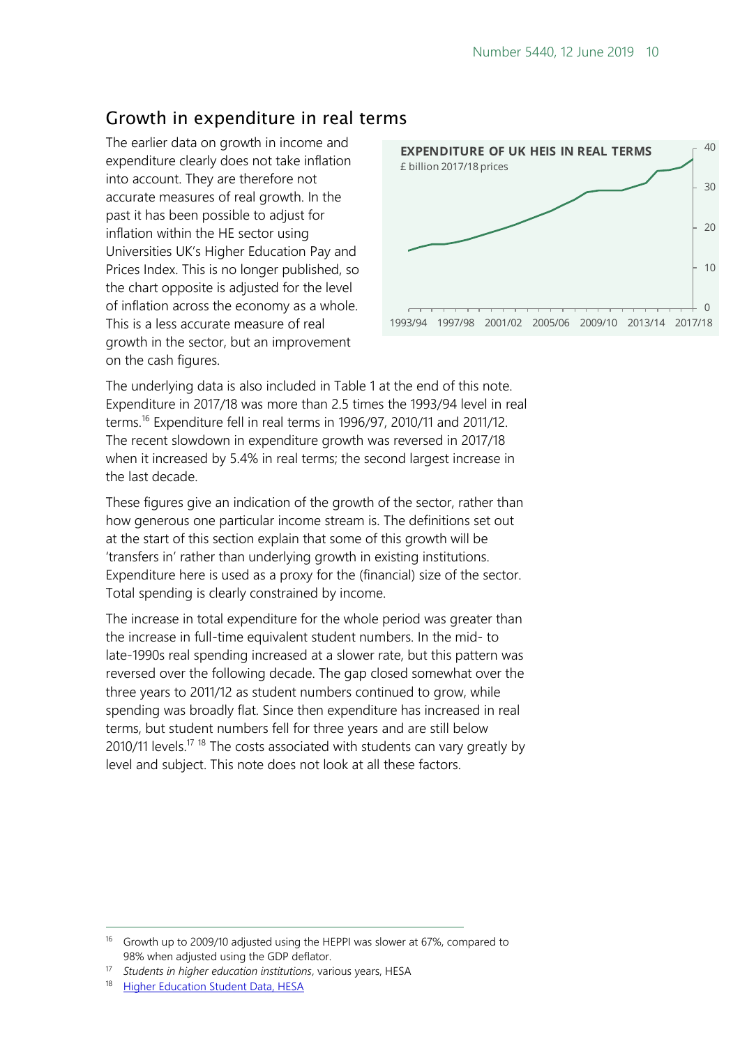### <span id="page-9-0"></span>Growth in expenditure in real terms

The earlier data on growth in income and expenditure clearly does not take inflation into account. They are therefore not accurate measures of real growth. In the past it has been possible to adjust for inflation within the HE sector using Universities UK's Higher Education Pay and Prices Index. This is no longer published, so the chart opposite is adjusted for the level of inflation across the economy as a whole. This is a less accurate measure of real growth in the sector, but an improvement on the cash figures.



The underlying data is also included in Table 1 at the end of this note. Expenditure in 2017/18 was more than 2.5 times the 1993/94 level in real terms.<sup>16</sup> Expenditure fell in real terms in 1996/97, 2010/11 and 2011/12. The recent slowdown in expenditure growth was reversed in 2017/18 when it increased by 5.4% in real terms; the second largest increase in the last decade.

These figures give an indication of the growth of the sector, rather than how generous one particular income stream is. The definitions set out at the start of this section explain that some of this growth will be 'transfers in' rather than underlying growth in existing institutions. Expenditure here is used as a proxy for the (financial) size of the sector. Total spending is clearly constrained by income.

The increase in total expenditure for the whole period was greater than the increase in full-time equivalent student numbers. In the mid- to late-1990s real spending increased at a slower rate, but this pattern was reversed over the following decade. The gap closed somewhat over the three years to 2011/12 as student numbers continued to grow, while spending was broadly flat. Since then expenditure has increased in real terms, but student numbers fell for three years and are still below 2010/11 levels.<sup>17 18</sup> The costs associated with students can vary greatly by level and subject. This note does not look at all these factors.

<sup>&</sup>lt;sup>16</sup> Growth up to 2009/10 adjusted using the HEPPI was slower at 67%, compared to 98% when adjusted using the GDP deflator.

<sup>17</sup> *Students in higher education institutions*, various years, HESA

**[Higher Education Student Data, HESA](https://www.hesa.ac.uk/data-and-analysis/students)**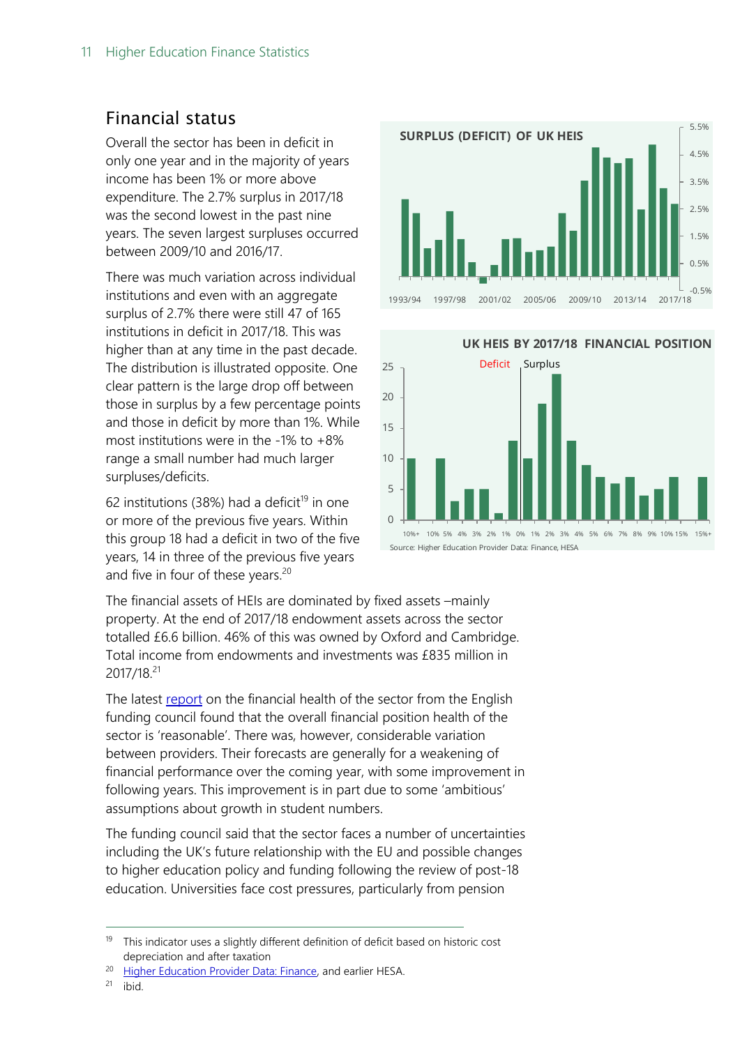#### <span id="page-10-0"></span>Financial status

Overall the sector has been in deficit in only one year and in the majority of years income has been 1% or more above expenditure. The 2.7% surplus in 2017/18 was the second lowest in the past nine years. The seven largest surpluses occurred between 2009/10 and 2016/17.

There was much variation across individual institutions and even with an aggregate surplus of 2.7% there were still 47 of 165 institutions in deficit in 2017/18. This was higher than at any time in the past decade. The distribution is illustrated opposite. One clear pattern is the large drop off between those in surplus by a few percentage points and those in deficit by more than 1%. While most institutions were in the -1% to  $+8\%$ range a small number had much larger surpluses/deficits.

62 institutions (38%) had a deficit<sup>19</sup> in one or more of the previous five years. Within this group 18 had a deficit in two of the five years, 14 in three of the previous five years and five in four of these years.<sup>20</sup>



**UK HEIS BY 2017/18 FINANCIAL POSITION**



The financial assets of HEIs are dominated by fixed assets –mainly property. At the end of 2017/18 endowment assets across the sector totalled £6.6 billion. 46% of this was owned by Oxford and Cambridge. Total income from endowments and investments was £835 million in 2017/18.<sup>21</sup>

The latest [report](https://www.officeforstudents.org.uk/publications/financial-sustainability-of-higher-education-providers-in-england/) on the financial health of the sector from the English funding council found that the overall financial position health of the sector is 'reasonable'. There was, however, considerable variation between providers. Their forecasts are generally for a weakening of financial performance over the coming year, with some improvement in following years. This improvement is in part due to some 'ambitious' assumptions about growth in student numbers.

The funding council said that the sector faces a number of uncertainties including the UK's future relationship with the EU and possible changes to higher education policy and funding following the review of post-18 education. Universities face cost pressures, particularly from pension

 $21$  ibid.

 $19$  This indicator uses a slightly different definition of deficit based on historic cost depreciation and after taxation

<sup>&</sup>lt;sup>20</sup> [Higher Education Provider Data: Finance,](https://www.hesa.ac.uk/data-and-analysis/finances) and earlier HESA.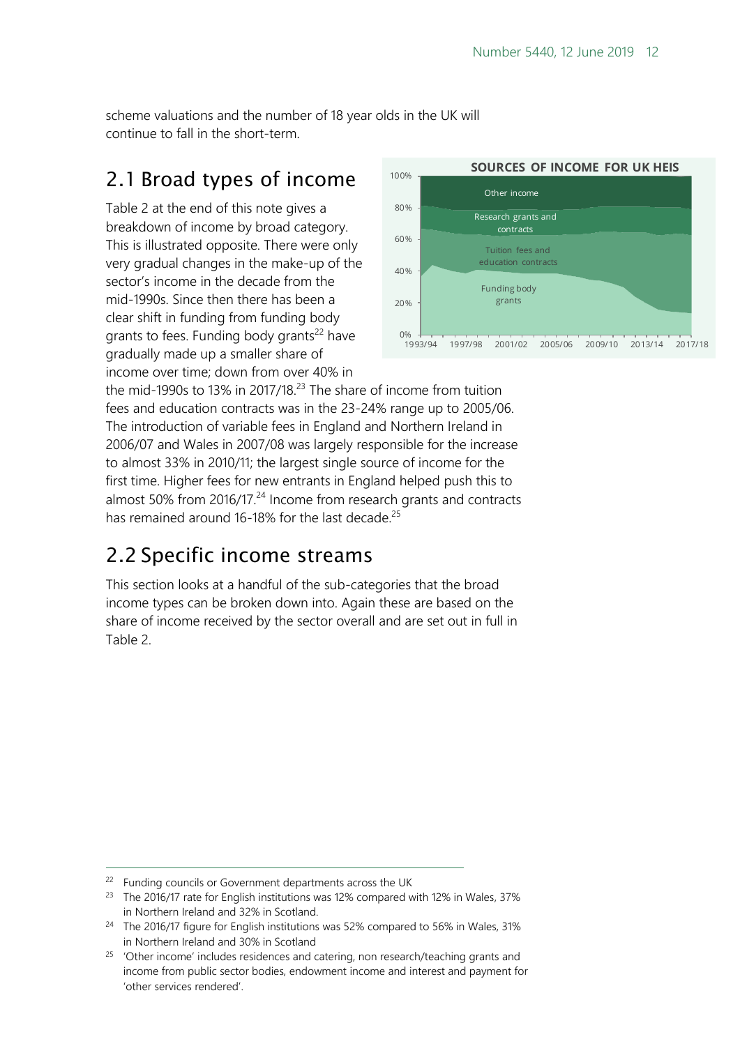scheme valuations and the number of 18 year olds in the UK will continue to fall in the short-term.

### <span id="page-11-0"></span>2.1 Broad types of income

Table 2 at the end of this note gives a breakdown of income by broad category. This is illustrated opposite. There were only very gradual changes in the make-up of the sector's income in the decade from the mid-1990s. Since then there has been a clear shift in funding from funding body grants to fees. Funding body grants<sup>22</sup> have gradually made up a smaller share of income over time; down from over 40% in



the mid-1990s to 13% in 2017/18. <sup>23</sup> The share of income from tuition fees and education contracts was in the 23-24% range up to 2005/06. The introduction of variable fees in England and Northern Ireland in 2006/07 and Wales in 2007/08 was largely responsible for the increase to almost 33% in 2010/11; the largest single source of income for the first time. Higher fees for new entrants in England helped push this to almost 50% from 2016/17.<sup>24</sup> Income from research grants and contracts has remained around 16-18% for the last decade.<sup>25</sup>

### <span id="page-11-1"></span>2.2 Specific income streams

This section looks at a handful of the sub-categories that the broad income types can be broken down into. Again these are based on the share of income received by the sector overall and are set out in full in Table 2.

-

<sup>&</sup>lt;sup>22</sup> Funding councils or Government departments across the UK

<sup>&</sup>lt;sup>23</sup> The 2016/17 rate for English institutions was 12% compared with 12% in Wales, 37% in Northern Ireland and 32% in Scotland.

<sup>&</sup>lt;sup>24</sup> The 2016/17 figure for English institutions was 52% compared to 56% in Wales, 31% in Northern Ireland and 30% in Scotland

<sup>&</sup>lt;sup>25</sup> 'Other income' includes residences and catering, non research/teaching grants and income from public sector bodies, endowment income and interest and payment for 'other services rendered'.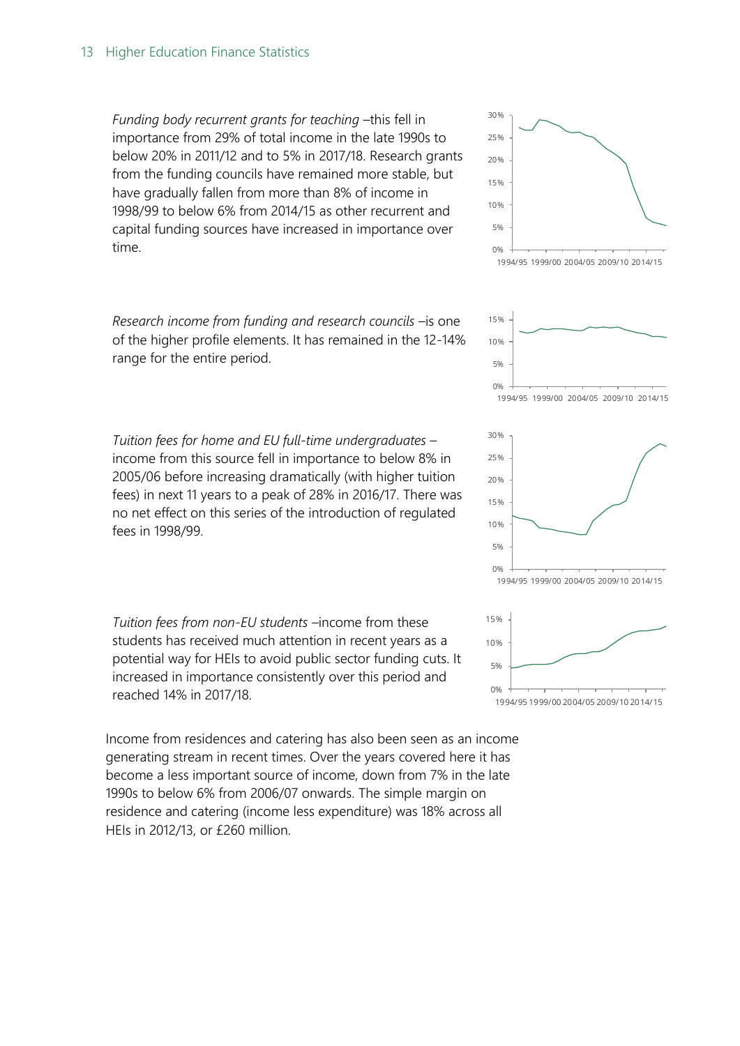*Funding body recurrent grants for teaching* –this fell in importance from 29% of total income in the late 1990s to below 20% in 2011/12 and to 5% in 2017/18. Research grants from the funding councils have remained more stable, but have gradually fallen from more than 8% of income in 1998/99 to below 6% from 2014/15 as other recurrent and capital funding sources have increased in importance over time.

*Research income from funding and research councils* –is one of the higher profile elements. It has remained in the 12-14% range for the entire period.

*Tuition fees for home and EU full-time undergraduates* – income from this source fell in importance to below 8% in 2005/06 before increasing dramatically (with higher tuition fees) in next 11 years to a peak of 28% in 2016/17. There was no net effect on this series of the introduction of regulated fees in 1998/99.

*Tuition fees from non-EU students –*income from these students has received much attention in recent years as a potential way for HEIs to avoid public sector funding cuts. It increased in importance consistently over this period and reached 14% in 2017/18.

Income from residences and catering has also been seen as an income generating stream in recent times. Over the years covered here it has become a less important source of income, down from 7% in the late 1990s to below 6% from 2006/07 onwards. The simple margin on residence and catering (income less expenditure) was 18% across all HEIs in 2012/13, or £260 million.



1994/95 1999/00 2004/05 2009/10 2014/15





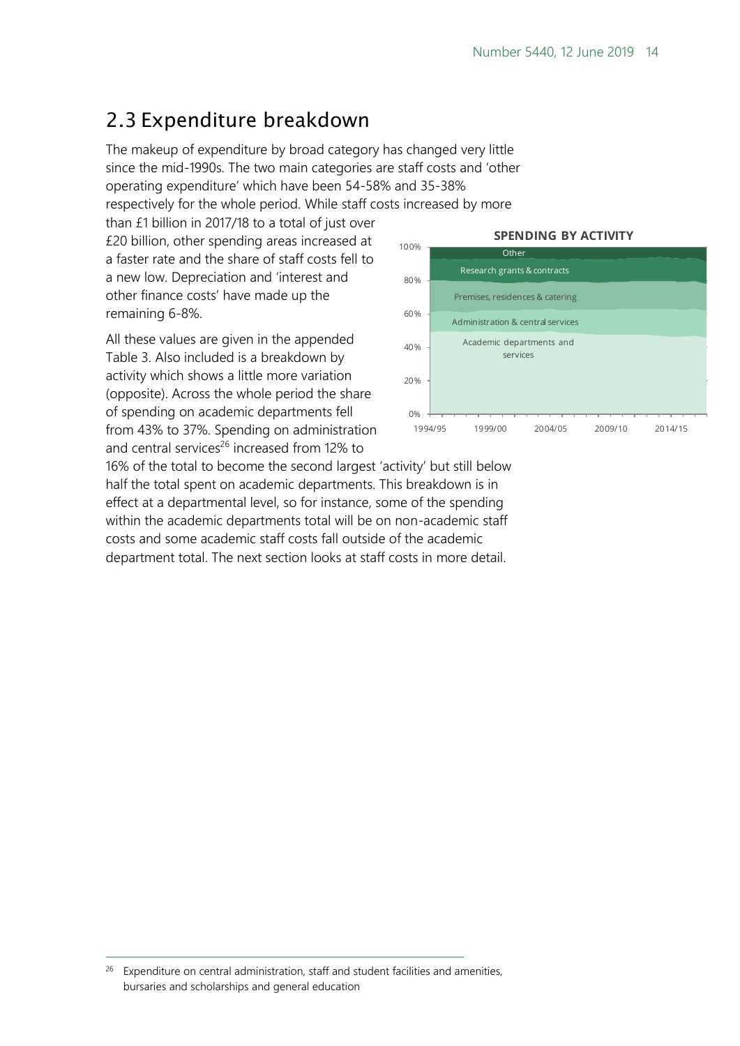## <span id="page-13-0"></span>2.3 Expenditure breakdown

The makeup of expenditure by broad category has changed very little since the mid-1990s. The two main categories are staff costs and 'other operating expenditure' which have been 54-58% and 35-38%

respectively for the whole period. While staff costs increased by more

than £1 billion in 2017/18 to a total of just over £20 billion, other spending areas increased at a faster rate and the share of staff costs fell to a new low. Depreciation and 'interest and other finance costs' have made up the remaining 6-8%.

All these values are given in the appended Table 3. Also included is a breakdown by activity which shows a little more variation (opposite). Across the whole period the share of spending on academic departments fell from 43% to 37%. Spending on administration and central services<sup>26</sup> increased from 12% to

#### **SPENDING BY ACTIVITY**



16% of the total to become the second largest 'activity' but still below half the total spent on academic departments. This breakdown is in effect at a departmental level, so for instance, some of the spending within the academic departments total will be on non-academic staff costs and some academic staff costs fall outside of the academic department total. The next section looks at staff costs in more detail.

<sup>&</sup>lt;sup>26</sup> Expenditure on central administration, staff and student facilities and amenities, bursaries and scholarships and general education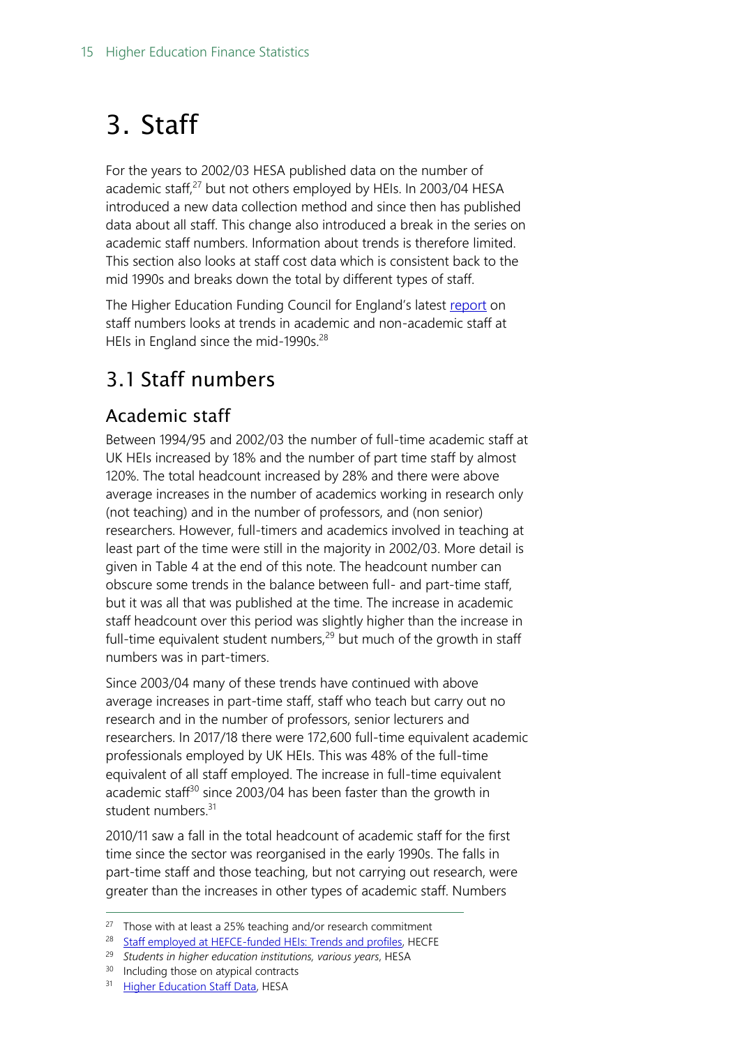## <span id="page-14-0"></span>3. Staff

For the years to 2002/03 HESA published data on the number of academic staff, $27$  but not others employed by HEIs. In 2003/04 HESA introduced a new data collection method and since then has published data about all staff. This change also introduced a break in the series on academic staff numbers. Information about trends is therefore limited. This section also looks at staff cost data which is consistent back to the mid 1990s and breaks down the total by different types of staff.

The Higher Education Funding Council for England's latest [report](http://www.hefce.ac.uk/analysis/staff/) on staff numbers looks at trends in academic and non-academic staff at HEIs in England since the mid-1990s.<sup>28</sup>

## <span id="page-14-1"></span>3.1 Staff numbers

### <span id="page-14-2"></span>Academic staff

Between 1994/95 and 2002/03 the number of full-time academic staff at UK HEIs increased by 18% and the number of part time staff by almost 120%. The total headcount increased by 28% and there were above average increases in the number of academics working in research only (not teaching) and in the number of professors, and (non senior) researchers. However, full-timers and academics involved in teaching at least part of the time were still in the majority in 2002/03. More detail is given in Table 4 at the end of this note. The headcount number can obscure some trends in the balance between full- and part-time staff, but it was all that was published at the time. The increase in academic staff headcount over this period was slightly higher than the increase in full-time equivalent student numbers, $^{29}$  but much of the growth in staff numbers was in part-timers.

Since 2003/04 many of these trends have continued with above average increases in part-time staff, staff who teach but carry out no research and in the number of professors, senior lecturers and researchers. In 2017/18 there were 172,600 full-time equivalent academic professionals employed by UK HEIs. This was 48% of the full-time equivalent of all staff employed. The increase in full-time equivalent academic staff $30$  since 2003/04 has been faster than the growth in student numbers.<sup>31</sup>

2010/11 saw a fall in the total headcount of academic staff for the first time since the sector was reorganised in the early 1990s. The falls in part-time staff and those teaching, but not carrying out research, were greater than the increases in other types of academic staff. Numbers

 $27$  Those with at least a 25% teaching and/or research commitment

<sup>28</sup> [Staff employed at HEFCE-funded HEIs: Trends and profiles,](http://www.hefce.ac.uk/analysis/staff/) HECFE

<sup>29</sup> *Students in higher education institutions, various years*, HESA

<sup>&</sup>lt;sup>30</sup> Including those on atypical contracts

<sup>&</sup>lt;sup>31</sup> [Higher Education Staff Data,](https://www.hesa.ac.uk/data-and-analysis/staff) HESA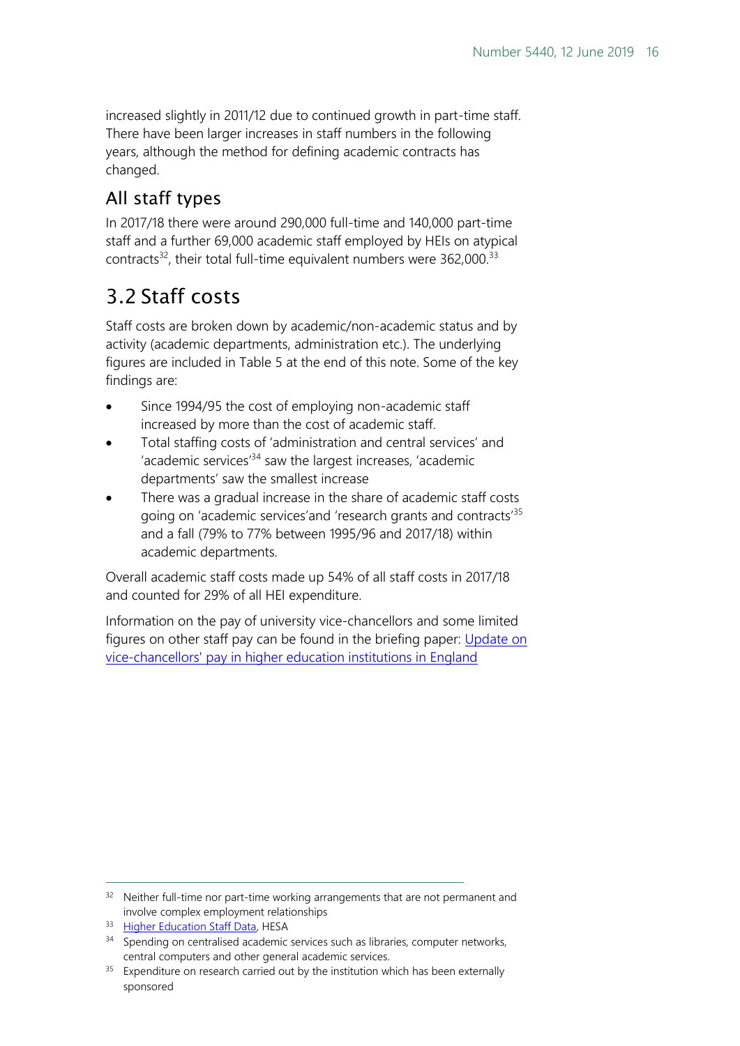increased slightly in 2011/12 due to continued growth in part-time staff. There have been larger increases in staff numbers in the following years, although the method for defining academic contracts has changed.

#### <span id="page-15-0"></span>All staff types

In 2017/18 there were around 290,000 full-time and 140,000 part-time staff and a further 69,000 academic staff employed by HEIs on atypical contracts $^{32}$ , their total full-time equivalent numbers were  $362,000$ . $^{33}$ 

## <span id="page-15-1"></span>3.2 Staff costs

Staff costs are broken down by academic/non-academic status and by activity (academic departments, administration etc.). The underlying figures are included in Table 5 at the end of this note. Some of the key findings are:

- Since 1994/95 the cost of employing non-academic staff increased by more than the cost of academic staff.
- Total staffing costs of 'administration and central services' and 'academic services'<sup>34</sup> saw the largest increases, 'academic departments' saw the smallest increase
- There was a gradual increase in the share of academic staff costs going on 'academic services' and 'research grants and contracts<sup>'35</sup> and a fall (79% to 77% between 1995/96 and 2017/18) within academic departments.

Overall academic staff costs made up 54% of all staff costs in 2017/18 and counted for 29% of all HEI expenditure.

Information on the pay of university vice-chancellors and some limited figures on other staff pay can be found in the briefing paper: Update on [vice-chancellors' pay in higher education institutions in England](https://researchbriefings.parliament.uk/ResearchBriefing/Summary/CBP-8526)

-

<sup>&</sup>lt;sup>32</sup> Neither full-time nor part-time working arrangements that are not permanent and involve complex employment relationships

<sup>33</sup> [Higher Education Staff Data,](https://www.hesa.ac.uk/data-and-analysis/staff) HESA

<sup>&</sup>lt;sup>34</sup> Spending on centralised academic services such as libraries, computer networks, central computers and other general academic services.

<sup>&</sup>lt;sup>35</sup> Expenditure on research carried out by the institution which has been externally sponsored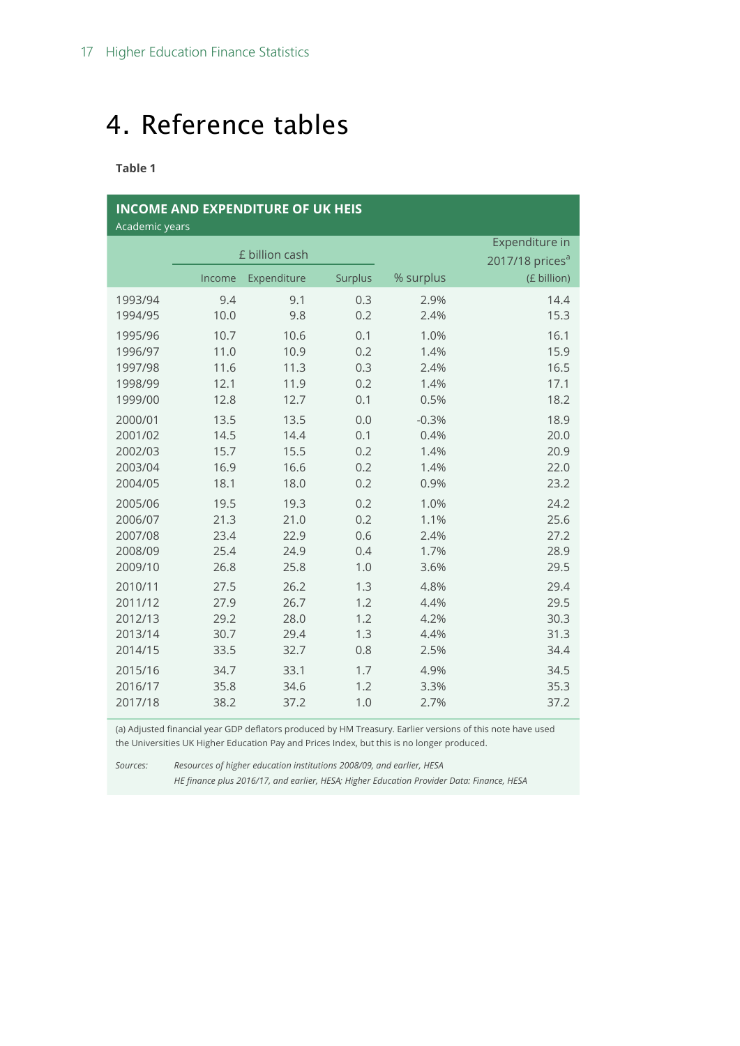## <span id="page-16-0"></span>4. Reference tables

**Table 1**

| <b>INCOME AND EXPENDITURE OF UK HEIS</b><br>Academic years |        |                |                |                |                                   |  |  |  |  |  |  |
|------------------------------------------------------------|--------|----------------|----------------|----------------|-----------------------------------|--|--|--|--|--|--|
|                                                            |        | £ billion cash |                | Expenditure in |                                   |  |  |  |  |  |  |
|                                                            | Income | Expenditure    | <b>Surplus</b> | % surplus      | 2017/18 prices $a$<br>(£ billion) |  |  |  |  |  |  |
| 1993/94                                                    | 9.4    | 9.1            | 0.3            | 2.9%           | 14.4                              |  |  |  |  |  |  |
| 1994/95                                                    | 10.0   | 9.8            | 0.2            | 2.4%           | 15.3                              |  |  |  |  |  |  |
| 1995/96                                                    | 10.7   | 10.6           | 0.1            | 1.0%           | 16.1                              |  |  |  |  |  |  |
| 1996/97                                                    | 11.0   | 10.9           | 0.2            | 1.4%           | 15.9                              |  |  |  |  |  |  |
| 1997/98                                                    | 11.6   | 11.3           | 0.3            | 2.4%           | 16.5                              |  |  |  |  |  |  |
| 1998/99                                                    | 12.1   | 11.9           | 0.2            | 1.4%           | 17.1                              |  |  |  |  |  |  |
| 1999/00                                                    | 12.8   | 12.7           | 0.1            | 0.5%           | 18.2                              |  |  |  |  |  |  |
| 2000/01                                                    | 13.5   | 13.5           | 0.0            | $-0.3%$        | 18.9                              |  |  |  |  |  |  |
| 2001/02                                                    | 14.5   | 14.4           | 0.1            | 0.4%           | 20.0                              |  |  |  |  |  |  |
| 2002/03                                                    | 15.7   | 15.5           | 0.2            | 1.4%           | 20.9                              |  |  |  |  |  |  |
| 2003/04                                                    | 16.9   | 16.6           | 0.2            | 1.4%           | 22.0                              |  |  |  |  |  |  |
| 2004/05                                                    | 18.1   | 18.0           | 0.2            | 0.9%           | 23.2                              |  |  |  |  |  |  |
| 2005/06                                                    | 19.5   | 19.3           | 0.2            | 1.0%           | 24.2                              |  |  |  |  |  |  |
| 2006/07                                                    | 21.3   | 21.0           | 0.2            | 1.1%           | 25.6                              |  |  |  |  |  |  |
| 2007/08                                                    | 23.4   | 22.9           | 0.6            | 2.4%           | 27.2                              |  |  |  |  |  |  |
| 2008/09                                                    | 25.4   | 24.9           | 0.4            | 1.7%           | 28.9                              |  |  |  |  |  |  |
| 2009/10                                                    | 26.8   | 25.8           | 1.0            | 3.6%           | 29.5                              |  |  |  |  |  |  |
| 2010/11                                                    | 27.5   | 26.2           | 1.3            | 4.8%           | 29.4                              |  |  |  |  |  |  |
| 2011/12                                                    | 27.9   | 26.7           | 1.2            | 4.4%           | 29.5                              |  |  |  |  |  |  |
| 2012/13                                                    | 29.2   | 28.0           | 1.2            | 4.2%           | 30.3                              |  |  |  |  |  |  |
| 2013/14                                                    | 30.7   | 29.4           | 1.3            | 4.4%           | 31.3                              |  |  |  |  |  |  |
| 2014/15                                                    | 33.5   | 32.7           | 0.8            | 2.5%           | 34.4                              |  |  |  |  |  |  |
| 2015/16                                                    | 34.7   | 33.1           | 1.7            | 4.9%           | 34.5                              |  |  |  |  |  |  |
| 2016/17                                                    | 35.8   | 34.6           | 1.2            | 3.3%           | 35.3                              |  |  |  |  |  |  |
| 2017/18                                                    | 38.2   | 37.2           | 1.0            | 2.7%           | 37.2                              |  |  |  |  |  |  |

(a) Adjusted financial year GDP deflators produced by HM Treasury. Earlier versions of this note have used the Universities UK Higher Education Pay and Prices Index, but this is no longer produced.

*Sources: Resources of higher education institutions 2008/09, and earlier, HESA*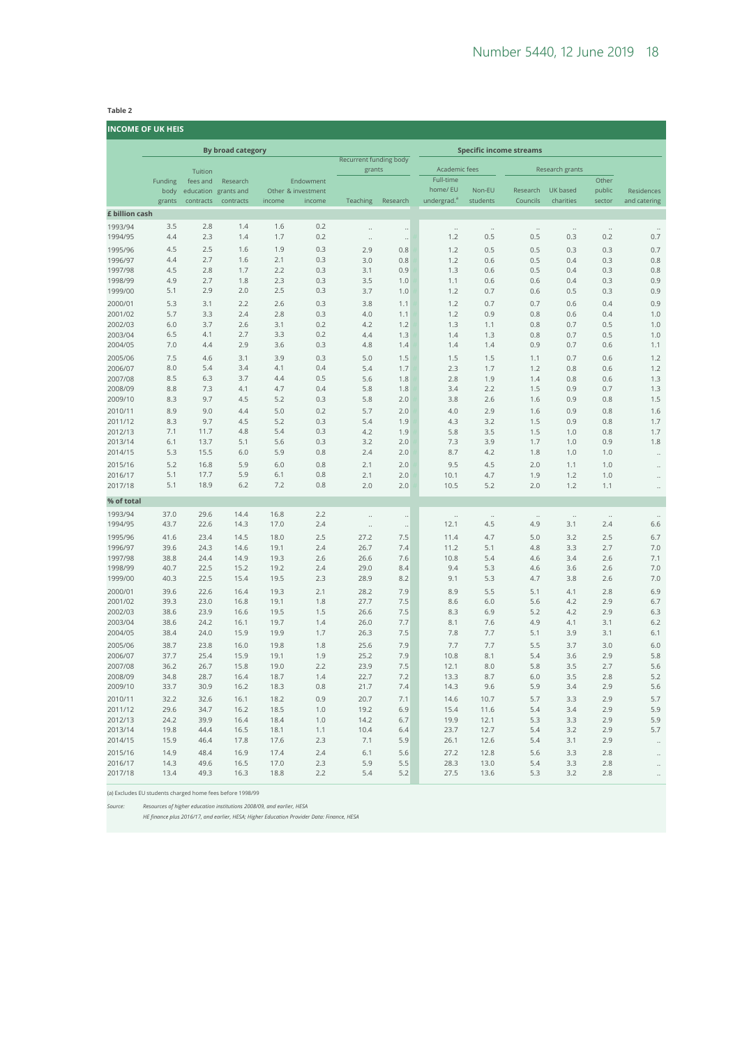#### **Table 2**

**INCOME OF UK HEIS**

| נושכטואוב טר טו <i>ג</i> ווובוס |                          |              |                                  |              |                                 |                        |                      |                            |                                |                      |                      |                      |                      |
|---------------------------------|--------------------------|--------------|----------------------------------|--------------|---------------------------------|------------------------|----------------------|----------------------------|--------------------------------|----------------------|----------------------|----------------------|----------------------|
|                                 | <b>By broad category</b> |              |                                  |              |                                 |                        |                      |                            | <b>Specific income streams</b> |                      |                      |                      |                      |
|                                 |                          |              |                                  |              |                                 | Recurrent funding body |                      |                            |                                |                      |                      |                      |                      |
|                                 |                          | Tuition      |                                  |              |                                 | grants                 |                      | Academic fees<br>Full-time |                                |                      | Research grants      |                      |                      |
|                                 | Funding<br>body          | fees and     | Research<br>education grants and |              | Endowment<br>Other & investment |                        |                      | home/ EU                   | Non-EU                         | Research             | UK based             | Other<br>public      | Residences           |
|                                 | grants                   | contracts    | contracts                        | income       | income                          | Teaching               | Research             | undergrad. <sup>a</sup>    | students                       | Councils             | charities            | sector               | and catering         |
| £ billion cash                  |                          |              |                                  |              |                                 |                        |                      |                            |                                |                      |                      |                      |                      |
| 1993/94                         | 3.5                      | 2.8          | 1.4                              | 1.6          | 0.2                             | $\ddotsc$              | $\ddot{\phantom{0}}$ | $\ddotsc$                  | $\ddots$                       | $\ddots$             | $\ddotsc$            | $\ddotsc$            |                      |
| 1994/95                         | 4.4                      | 2.3          | 1.4                              | 1.7          | 0.2                             | $\ddot{\phantom{a}}$   | $\ddot{\phantom{0}}$ | 1.2                        | 0.5                            | 0.5                  | 0.3                  | 0.2                  | 0.7                  |
| 1995/96                         | 4.5                      | 2.5          | 1.6                              | 1.9          | 0.3                             | 2.9                    | 0.8                  | 1.2                        | 0.5                            | 0.5                  | 0.3                  | 0.3                  | 0.7                  |
| 1996/97                         | 4.4                      | 2.7          | 1.6                              | 2.1          | 0.3                             | 3.0                    | 0.8                  | 1.2                        | 0.6                            | 0.5                  | 0.4                  | 0.3                  | 0.8                  |
| 1997/98                         | 4.5                      | 2.8          | 1.7                              | 2.2          | 0.3                             | 3.1                    | 0.9                  | 1.3                        | 0.6                            | 0.5                  | 0.4                  | 0.3                  | 0.8                  |
| 1998/99                         | 4.9                      | 2.7          | 1.8                              | 2.3          | 0.3                             | 3.5                    | 1.0                  | 1.1                        | 0.6                            | 0.6                  | 0.4                  | 0.3                  | 0.9                  |
| 1999/00                         | 5.1                      | 2.9          | 2.0                              | 2.5          | 0.3                             | 3.7                    | 1.0                  | 1.2                        | 0.7                            | 0.6                  | 0.5                  | 0.3                  | 0.9                  |
| 2000/01                         | 5.3<br>5.7               | 3.1<br>3.3   | 2.2<br>2.4                       | 2.6<br>2.8   | 0.3<br>0.3                      | 3.8                    | 1.1                  | 1.2                        | 0.7                            | 0.7                  | 0.6                  | 0.4                  | 0.9                  |
| 2001/02<br>2002/03              | 6.0                      | 3.7          | 2.6                              | 3.1          | 0.2                             | 4.0<br>4.2             | 1.1<br>1.2           | 1.2<br>1.3                 | 0.9<br>1.1                     | 0.8<br>0.8           | 0.6<br>0.7           | 0.4<br>0.5           | 1.0<br>1.0           |
| 2003/04                         | 6.5                      | 4.1          | 2.7                              | 3.3          | 0.2                             | 4.4                    | 1.3                  | 1.4                        | 1.3                            | 0.8                  | 0.7                  | 0.5                  | 1.0                  |
| 2004/05                         | 7.0                      | 4.4          | 2.9                              | 3.6          | 0.3                             | 4.8                    | 1.4                  | 1.4                        | 1.4                            | 0.9                  | 0.7                  | 0.6                  | 1.1                  |
| 2005/06                         | 7.5                      | 4.6          | 3.1                              | 3.9          | 0.3                             | 5.0                    | 1.5                  | 1.5                        | 1.5                            | 1.1                  | 0.7                  | 0.6                  | 1.2                  |
| 2006/07                         | 8.0                      | 5.4          | 3.4                              | 4.1          | 0.4                             | 5.4                    | 1.7                  | 2.3                        | 1.7                            | 1.2                  | 0.8                  | 0.6                  | 1.2                  |
| 2007/08                         | 8.5                      | 6.3          | 3.7                              | 4.4          | 0.5                             | 5.6                    | 1.8                  | 2.8                        | 1.9                            | 1.4                  | 0.8                  | 0.6                  | 1.3                  |
| 2008/09                         | 8.8                      | 7.3          | 4.1                              | 4.7          | 0.4                             | 5.8                    | 1.8                  | 3.4                        | 2.2                            | 1.5                  | 0.9                  | 0.7                  | 1.3                  |
| 2009/10                         | 8.3                      | 9.7          | 4.5                              | 5.2          | 0.3                             | 5.8                    | 2.0                  | 3.8                        | 2.6                            | 1.6                  | 0.9                  | 0.8                  | 1.5                  |
| 2010/11                         | 8.9                      | 9.0          | 4.4                              | 5.0          | 0.2                             | 5.7                    | 2.0                  | 4.0                        | 2.9                            | 1.6                  | 0.9                  | 0.8                  | 1.6                  |
| 2011/12<br>2012/13              | 8.3<br>7.1               | 9.7<br>11.7  | 4.5<br>4.8                       | 5.2<br>5.4   | 0.3<br>0.3                      | 5.4<br>4.2             | 1.9<br>1.9           | 4.3<br>5.8                 | 3.2<br>3.5                     | 1.5<br>1.5           | 0.9<br>1.0           | 0.8<br>0.8           | 1.7<br>1.7           |
| 2013/14                         | 6.1                      | 13.7         | 5.1                              | 5.6          | 0.3                             | 3.2                    | 2.0                  | 7.3                        | 3.9                            | 1.7                  | 1.0                  | 0.9                  | 1.8                  |
| 2014/15                         | 5.3                      | 15.5         | 6.0                              | 5.9          | 0.8                             | 2.4                    | 2.0                  | 8.7                        | 4.2                            | 1.8                  | 1.0                  | 1.0                  | $\ddot{\phantom{a}}$ |
| 2015/16                         | 5.2                      | 16.8         | 5.9                              | 6.0          | 0.8                             | 2.1                    | 2.0                  | 9.5                        | 4.5                            | 2.0                  | 1.1                  | 1.0                  | $\ddot{\phantom{0}}$ |
| 2016/17                         | 5.1                      | 17.7         | 5.9                              | 6.1          | 0.8                             | 2.1                    | 2.0                  | 10.1                       | 4.7                            | 1.9                  | 1.2                  | 1.0                  | $\ddot{\phantom{0}}$ |
| 2017/18                         | 5.1                      | 18.9         | 6.2                              | 7.2          | 0.8                             | 2.0                    | 2.0                  | 10.5                       | 5.2                            | 2.0                  | 1.2                  | 1.1                  | $\ddot{\phantom{0}}$ |
| % of total                      |                          |              |                                  |              |                                 |                        |                      |                            |                                |                      |                      |                      |                      |
| 1993/94                         | 37.0                     | 29.6         | 14.4                             | 16.8         | 2.2                             | ă,                     | $\ddot{\phantom{0}}$ | $\ddot{\phantom{0}}$       | $\ddot{\phantom{0}}$           | $\ddot{\phantom{0}}$ | $\ddot{\phantom{a}}$ | $\ddot{\phantom{a}}$ |                      |
| 1994/95                         | 43.7                     | 22.6         | 14.3                             | 17.0         | 2.4                             | $\ddotsc$              | $\ddot{\phantom{0}}$ | 12.1                       | 4.5                            | 4.9                  | 3.1                  | 2.4                  | 6.6                  |
| 1995/96                         | 41.6                     | 23.4         | 14.5                             | 18.0         | 2.5                             | 27.2                   | 7.5                  | 11.4                       | 4.7                            | 5.0                  | 3.2                  | 2.5                  | 6.7                  |
| 1996/97                         | 39.6                     | 24.3         | 14.6                             | 19.1         | 2.4                             | 26.7                   | 7.4                  | 11.2                       | 5.1                            | 4.8                  | 3.3                  | 2.7                  | 7.0                  |
| 1997/98<br>1998/99              | 38.8<br>40.7             | 24.4<br>22.5 | 14.9<br>15.2                     | 19.3<br>19.2 | 2.6<br>2.4                      | 26.6<br>29.0           | 7.6<br>8.4           | 10.8<br>9.4                | 5.4<br>5.3                     | 4.6<br>4.6           | 3.4<br>3.6           | 2.6<br>2.6           | 7.1<br>7.0           |
| 1999/00                         | 40.3                     | 22.5         | 15.4                             | 19.5         | 2.3                             | 28.9                   | 8.2                  | 9.1                        | 5.3                            | 4.7                  | 3.8                  | 2.6                  | 7.0                  |
| 2000/01                         | 39.6                     | 22.6         | 16.4                             | 19.3         | 2.1                             | 28.2                   | 7.9                  | 8.9                        | 5.5                            | 5.1                  | 4.1                  | 2.8                  | 6.9                  |
| 2001/02                         | 39.3                     | 23.0         | 16.8                             | 19.1         | 1.8                             | 27.7                   | 7.5                  | 8.6                        | 6.0                            | 5.6                  | 4.2                  | 2.9                  | 6.7                  |
| 2002/03                         | 38.6                     | 23.9         | 16.6                             | 19.5         | 1.5                             | 26.6                   | 7.5                  | 8.3                        | 6.9                            | 5.2                  | 4.2                  | 2.9                  | 6.3                  |
| 2003/04                         | 38.6                     | 24.2         | 16.1                             | 19.7         | 1.4                             | 26.0                   | 7.7                  | 8.1                        | 7.6                            | 4.9                  | 4.1                  | 3.1                  | 6.2                  |
| 2004/05                         | 38.4                     | 24.0         | 15.9                             | 19.9         | 1.7                             | 26.3                   | 7.5                  | 7.8                        | 7.7                            | 5.1                  | 3.9                  | 3.1                  | 6.1                  |
| 2005/06                         | 38.7                     | 23.8         | 16.0                             | 19.8         | 1.8                             | 25.6                   | 7.9                  | 7.7                        | 7.7                            | 5.5                  | 3.7                  | 3.0                  | 6.0                  |
| 2006/07                         | 37.7                     | 25.4         | 15.9                             | 19.1         | 1.9                             | 25.2                   | 7.9                  | 10.8                       | 8.1                            | 5.4                  | 3.6                  | 2.9                  | 5.8                  |
| 2007/08                         | 36.2                     | 26.7         | 15.8                             | 19.0         | 2.2                             | 23.9                   | 7.5                  | 12.1                       | 8.0                            | 5.8                  | 3.5                  | 2.7                  | 5.6                  |
| 2008/09<br>2009/10              | 34.8<br>33.7             | 28.7<br>30.9 | 16.4<br>16.2                     | 18.7<br>18.3 | 1.4<br>0.8                      | 22.7<br>21.7           | 7.2<br>7.4           | 13.3<br>14.3               | 8.7<br>9.6                     | 6.0<br>5.9           | 3.5<br>3.4           | 2.8<br>2.9           | 5.2<br>5.6           |
| 2010/11                         | 32.2                     | 32.6         | 16.1                             | 18.2         | 0.9                             | 20.7                   | 7.1                  | 14.6                       | 10.7                           | 5.7                  | 3.3                  | 2.9                  | 5.7                  |
| 2011/12                         | 29.6                     | 34.7         | 16.2                             | 18.5         | 1.0                             | 19.2                   | 6.9                  | 15.4                       | 11.6                           | 5.4                  | 3.4                  | 2.9                  | 5.9                  |
| 2012/13                         | 24.2                     | 39.9         | 16.4                             | 18.4         | 1.0                             | 14.2                   | 6.7                  | 19.9                       | 12.1                           | 5.3                  | 3.3                  | 2.9                  | 5.9                  |
| 2013/14                         | 19.8                     | 44.4         | 16.5                             | 18.1         | 1.1                             | 10.4                   | 6.4                  | 23.7                       | 12.7                           | 5.4                  | 3.2                  | 2.9                  | 5.7                  |
| 2014/15                         | 15.9                     | 46.4         | 17.8                             | 17.6         | 2.3                             | 7.1                    | 5.9                  | 26.1                       | 12.6                           | 5.4                  | 3.1                  | 2.9                  | $\ddot{\phantom{0}}$ |
| 2015/16                         | 14.9                     | 48.4         | 16.9                             | 17.4         | 2.4                             | 6.1                    | 5.6                  | 27.2                       | 12.8                           | 5.6                  | 3.3                  | 2.8                  | $\ddot{\phantom{0}}$ |
| 2016/17                         | 14.3                     | 49.6         | 16.5                             | 17.0         | 2.3                             | 5.9                    | 5.5                  | 28.3                       | 13.0                           | 5.4                  | 3.3                  | 2.8                  | $\ddot{\phantom{a}}$ |
| 2017/18                         | 13.4                     | 49.3         | 16.3                             | 18.8         | 2.2                             | 5.4                    | 5.2                  | 27.5                       | 13.6                           | 5.3                  | 3.2                  | 2.8                  | $\ddot{\phantom{a}}$ |

(a) Excludes EU students charged home fees before 1998/99

*Source: Resources of higher education institutions 2008/09, and earlier, HESA*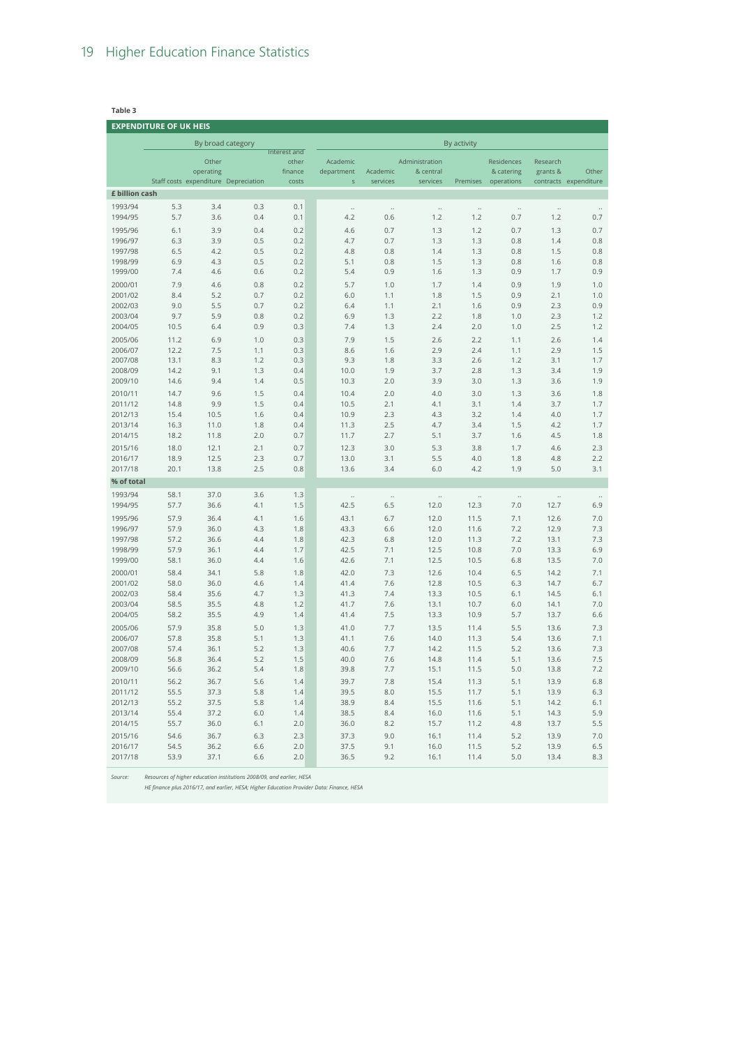**Table 3 EXPENDITURE OF UK HEIS** By broad category By activity Staff costs expenditure Depreciation Other operating Interest and other finance costs Academic department s Academic services Administration & central services Premises Residences & catering operations Research grants & contracts expenditure Other **£ billion cash** 1993/94 5.3 3.4 0.3 0.1 .. .. .. .. .. .. .. 1994/95 5.7 3.6 0.4 0.1 4.2 0.6 1.2 1.2 0.7 1.2 0.7 1995/96 6.1 3.9 0.4 0.2 4.6 0.7 1.3 1.2 0.7 1.3 0.7 1996/97 6.3 3.9 0.5 0.2 4.7 0.7 1.3 1.3 0.8 1.4 0.8 1997/98 6.5 4.2 0.5 0.2 4.8 0.8 1.4 1.3 0.8 1.5 0.8 1998/99 6.9 4.3 0.5 0.2 5.1 0.8 1.5 1.3 0.8 1.6 0.8 1999/00 7.4 4.6 0.6 0.2 5.4 0.9 1.6 1.3 0.9 1.7 0.9 2000/01 7.9 4.6 0.8 0.2 5.7 1.0 1.7 1.4 0.9 1.9 1.0 2001/02 8.4 5.2 0.7 0.2 6.0 1.1 1.8 1.5 0.9 2.1 1.0 2002/03 9.0 5.5 0.7 0.2 6.4 1.1 2.1 1.6 0.9 2.3 0.9 2003/04 9.7 5.9 0.8 0.2 6.9 1.3 2.2 1.8 1.0 2.3 1.2 2004/05 10.5 6.4 0.9 0.3 7.4 1.3 2.4 2.0 1.0 2.5 1.2 2005/06 11.2 6.9 1.0 0.3 7.9 1.5 2.6 2.2 1.1 2.6 1.4 2006/07 12.2 7.5 1.1 0.3 8.6 1.6 2.9 2.4 1.1 2.9 1.5 2007/08 13.1 8.3 1.2 0.3 9.3 1.8 3.3 2.6 1.2 3.1 1.7 2008/09 14.2 9.1 1.3 0.4 10.0 1.9 3.7 2.8 1.3 3.4 1.9 2009/10 14.6 9.4 1.4 0.5 10.3 2.0 3.9 3.0 1.3 3.6 1.9 2010/11 14.7 9.6 1.5 0.4 10.4 2.0 4.0 3.0 1.3 3.6 1.8 2011/12 14.8 9.9 1.5 0.4 10.5 2.1 4.1 3.1 1.4 3.7 1.7 2012/13 15.4 10.5 1.6 0.4 10.9 2.3 4.3 3.2 1.4 4.0 1.7 2013/14 16.3 11.0 1.8 0.4 11.3 2.5 4.7 3.4 1.5 4.2 1.7 2014/15 18.2 11.8 2.0 0.7 11.7 2.7 5.1 3.7 1.6 4.5 1.8 2015/16 18.0 12.1 2.1 0.7 12.3 3.0 5.3 3.8 1.7 4.6 2.3 2016/17 18.9 12.5 2.3 0.7 13.0 3.1 5.5 4.0 1.8 4.8 2.2 2017/18 20.1 13.8 2.5 0.8 13.6 3.4 6.0 4.2 1.9 5.0 3.1 **% of total** 1993/94 58.1 37.0 3.6 1.3 .. .. .. .. .. .. .. 1994/95 57.7 36.6 4.1 1.5 42.5 6.5 12.0 12.3 7.0 12.7 6.9 1995/96 57.9 36.4 4.1 1.6 43.1 6.7 12.0 11.5 7.1 12.6 7.0 1996/97 57.9 36.0 4.3 1.8 43.3 6.6 12.0 11.6 7.2 12.9 7.3 1997/98 57.2 36.6 4.4 1.8 42.3 6.8 12.0 11.3 7.2 13.1 7.3 1998/99 57.9 36.1 4.4 1.7 42.5 7.1 12.5 10.8 7.0 13.3 6.9 1999/00 58.1 36.0 4.4 1.6 42.6 7.1 12.5 10.5 6.8 13.5 7.0 2000/01 58.4 34.1 5.8 1.8 42.0 7.3 12.6 10.4 6.5 14.2 7.1 2001/02 58.0 36.0 4.6 1.4 41.4 7.6 12.8 10.5 6.3 14.7 6.7 2002/03 58.4 35.6 4.7 1.3 41.3 7.4 13.3 10.5 6.1 14.5 6.1 2003/04 58.5 35.5 4.8 1.2 41.7 7.6 13.1 10.7 6.0 14.1 7.0 2004/05 58.2 35.5 4.9 1.4 41.4 7.5 13.3 10.9 5.7 13.7 6.6 2005/06 57.9 35.8 5.0 1.3 41.0 7.7 13.5 11.4 5.5 13.6 7.3 2006/07 57.8 35.8 5.1 1.3 41.1 7.6 14.0 11.3 5.4 13.6 7.1 2007/08 57.4 36.1 5.2 1.3 40.6 7.7 14.2 11.5 5.2 13.6 7.3 2008/09 56.8 36.4 5.2 1.5 40.0 7.6 14.8 11.4 5.1 13.6 7.5 2009/10 56.6 36.2 5.4 1.8 39.8 7.7 15.1 11.5 5.0 13.8 7.2 2010/11 56.2 36.7 5.6 1.4 39.7 7.8 15.4 11.3 5.1 13.9 6.8 2011/12 55.5 37.3 5.8 1.4 39.5 8.0 15.5 11.7 5.1 13.9 6.3 2012/13 55.2 37.5 5.8 1.4 38.9 8.4 15.5 11.6 5.1 14.2 6.1 2013/14 55.4 37.2 6.0 1.4 38.5 8.4 16.0 11.6 5.1 14.3 5.9 2014/15 55.7 36.0 6.1 2.0 36.0 8.2 15.7 11.2 4.8 13.7 5.5 2015/16 54.6 36.7 6.3 2.3 37.3 9.0 16.1 11.4 5.2 13.9 7.0 2016/17 54.5 36.2 6.6 2.0 37.5 9.1 16.0 11.5 5.2 13.9 6.5

2017/18 53.9 37.1 6.6 2.0 36.5 9.2 16.1 11.4 5.0 13.4 8.3

*Source: Resources of higher education institutions 2008/09, and earlier, HESA*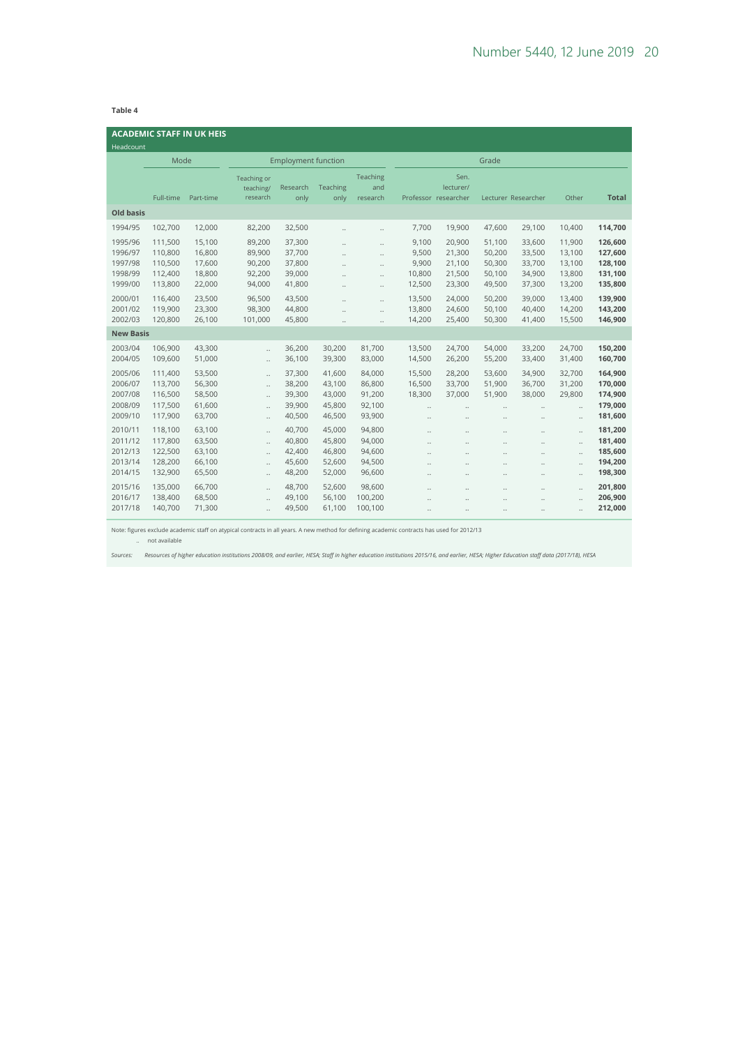#### **Table 4**

| Headcount                                           |                                                     | <b>ACADEMIC STAFF IN UK HEIS</b>               |                                                                                                           |                                                |                                                |                                                                                                                      |                                                  |                                                                                                  |                                                                                              |                                                                                                |                                                          |                                                     |
|-----------------------------------------------------|-----------------------------------------------------|------------------------------------------------|-----------------------------------------------------------------------------------------------------------|------------------------------------------------|------------------------------------------------|----------------------------------------------------------------------------------------------------------------------|--------------------------------------------------|--------------------------------------------------------------------------------------------------|----------------------------------------------------------------------------------------------|------------------------------------------------------------------------------------------------|----------------------------------------------------------|-----------------------------------------------------|
|                                                     | Mode                                                |                                                |                                                                                                           | <b>Employment function</b>                     |                                                |                                                                                                                      | Grade                                            |                                                                                                  |                                                                                              |                                                                                                |                                                          |                                                     |
|                                                     | Full-time                                           | Part-time                                      | Teaching or<br>teaching/<br>research                                                                      | Research<br>only                               | Teaching<br>only                               | Teaching<br>and<br>research                                                                                          |                                                  | Sen.<br>lecturer/<br>Professor researcher                                                        |                                                                                              | Lecturer Researcher                                                                            | Other                                                    | <b>Total</b>                                        |
| <b>Old basis</b>                                    |                                                     |                                                |                                                                                                           |                                                |                                                |                                                                                                                      |                                                  |                                                                                                  |                                                                                              |                                                                                                |                                                          |                                                     |
| 1994/95                                             | 102,700                                             | 12,000                                         | 82,200                                                                                                    | 32,500                                         | $\ddot{\phantom{a}}$                           | $\ddotsc$                                                                                                            | 7,700                                            | 19,900                                                                                           | 47,600                                                                                       | 29,100                                                                                         | 10,400                                                   | 114,700                                             |
| 1995/96<br>1996/97<br>1997/98<br>1998/99<br>1999/00 | 111,500<br>110,800<br>110,500<br>112,400<br>113,800 | 15,100<br>16,800<br>17,600<br>18,800<br>22,000 | 89,200<br>89,900<br>90,200<br>92,200<br>94,000                                                            | 37,300<br>37,700<br>37,800<br>39,000<br>41,800 | <br><br><br>$\ddot{\phantom{a}}$<br>           | $\ddot{\phantom{a}}$<br>$\ddot{\phantom{a}}$<br>$\ddot{\phantom{a}}$<br>$\ddot{\phantom{a}}$<br>$\ddot{\phantom{a}}$ | 9,100<br>9,500<br>9,900<br>10,800<br>12,500      | 20,900<br>21,300<br>21,100<br>21,500<br>23,300                                                   | 51,100<br>50,200<br>50,300<br>50,100<br>49,500                                               | 33,600<br>33,500<br>33,700<br>34,900<br>37,300                                                 | 11,900<br>13,100<br>13,100<br>13,800<br>13,200           | 126,600<br>127,600<br>128,100<br>131,100<br>135,800 |
| 2000/01<br>2001/02<br>2002/03                       | 116,400<br>119,900<br>120,800                       | 23,500<br>23,300<br>26,100                     | 96,500<br>98,300<br>101,000                                                                               | 43,500<br>44,800<br>45,800                     | <br><br>                                       | $\ddot{\phantom{a}}$<br>$\ddotsc$<br>$\ddot{\phantom{a}}$                                                            | 13,500<br>13,800<br>14,200                       | 24,000<br>24,600<br>25,400                                                                       | 50,200<br>50,100<br>50,300                                                                   | 39,000<br>40,400<br>41,400                                                                     | 13,400<br>14,200<br>15,500                               | 139,900<br>143,200<br>146,900                       |
| <b>New Basis</b>                                    |                                                     |                                                |                                                                                                           |                                                |                                                |                                                                                                                      |                                                  |                                                                                                  |                                                                                              |                                                                                                |                                                          |                                                     |
| 2003/04<br>2004/05                                  | 106,900<br>109,600                                  | 43,300<br>51,000                               | <br>$\ddot{\phantom{a}}$                                                                                  | 36,200<br>36,100                               | 30,200<br>39,300                               | 81,700<br>83,000                                                                                                     | 13,500<br>14,500                                 | 24,700<br>26,200                                                                                 | 54,000<br>55,200                                                                             | 33,200<br>33,400                                                                               | 24,700<br>31,400                                         | 150,200<br>160,700                                  |
| 2005/06<br>2006/07<br>2007/08<br>2008/09<br>2009/10 | 111.400<br>113,700<br>116,500<br>117,500<br>117,900 | 53,500<br>56,300<br>58,500<br>61,600<br>63,700 | $\ddot{\phantom{a}}$<br>$\ddot{\phantom{a}}$<br>$\ddot{\phantom{0}}$<br>$\ddotsc$<br>$\ddot{\phantom{0}}$ | 37,300<br>38,200<br>39,300<br>39,900<br>40,500 | 41.600<br>43,100<br>43,000<br>45,800<br>46,500 | 84.000<br>86,800<br>91,200<br>92,100<br>93,900                                                                       | 15,500<br>16,500<br>18,300<br>$\ddotsc$<br>      | 28,200<br>33,700<br>37,000<br>$\ddot{\phantom{a}}$<br>$\ddot{\phantom{a}}$                       | 53,600<br>51,900<br>51,900<br>$\ddot{\phantom{a}}$<br>$\ddot{\phantom{a}}$                   | 34,900<br>36,700<br>38,000<br><br>$\ddot{\phantom{a}}$                                         | 32,700<br>31,200<br>29,800<br>$\ddot{\phantom{0}}$<br>   | 164,900<br>170,000<br>174,900<br>179,000<br>181,600 |
| 2010/11<br>2011/12<br>2012/13<br>2013/14<br>2014/15 | 118,100<br>117,800<br>122,500<br>128,200<br>132,900 | 63,100<br>63,500<br>63,100<br>66,100<br>65,500 | $\ddot{\phantom{a}}$<br><br>$\ddot{\phantom{a}}$<br>$\ddot{\phantom{a}}$<br>$\ddot{\phantom{a}}$          | 40,700<br>40,800<br>42,400<br>45,600<br>48,200 | 45,000<br>45,800<br>46,800<br>52,600<br>52,000 | 94,800<br>94,000<br>94,600<br>94,500<br>96,600                                                                       | $\ddotsc$<br>$\ddot{\phantom{0}}$<br><br><br>    | $\ddot{\phantom{0}}$<br><br>$\ddot{\phantom{0}}$<br>$\ddot{\phantom{a}}$<br>$\ddot{\phantom{0}}$ | $\ddot{\phantom{a}}$<br>$\ddot{\phantom{a}}$<br>$\ddot{\phantom{a}}$<br>$\ddot{\phantom{a}}$ | $\ddotsc$<br>$\ddot{\phantom{0}}$<br>$\ddot{\phantom{0}}$<br>$\ddot{\phantom{a}}$<br>$\ddotsc$ | <br><br>$\ddot{\phantom{a}}$<br>$\ddot{\phantom{a}}$<br> | 181,200<br>181,400<br>185,600<br>194,200<br>198,300 |
| 2015/16<br>2016/17<br>2017/18                       | 135,000<br>138,400<br>140,700                       | 66,700<br>68,500<br>71,300                     | $\ddot{\phantom{a}}$<br><br>ä.                                                                            | 48,700<br>49,100<br>49,500                     | 52,600<br>56,100<br>61,100                     | 98,600<br>100,200<br>100,100                                                                                         | $\ddot{\phantom{a}}$<br>$\ddot{\phantom{0}}$<br> | $\ddot{\phantom{a}}$<br>$\ddot{\phantom{a}}$<br>                                                 | $\ddot{\phantom{a}}$<br>$\ddot{\phantom{a}}$<br>                                             | $\ddot{\phantom{a}}$<br>$\ddot{\phantom{a}}$<br>                                               | $\ddot{\phantom{a}}$<br><br>                             | 201,800<br>206,900<br>212,000                       |

Note: figures exclude academic staff on atypical contracts in all years. A new method for defining academic contracts has used for 2012/13 .. not available

*Sources: Resources of higher education institutions 2008/09, and earlier, HESA; Staff in higher education institutions 2015/16, and earlier, HESA; Higher Education staff data (2017/18), HESA*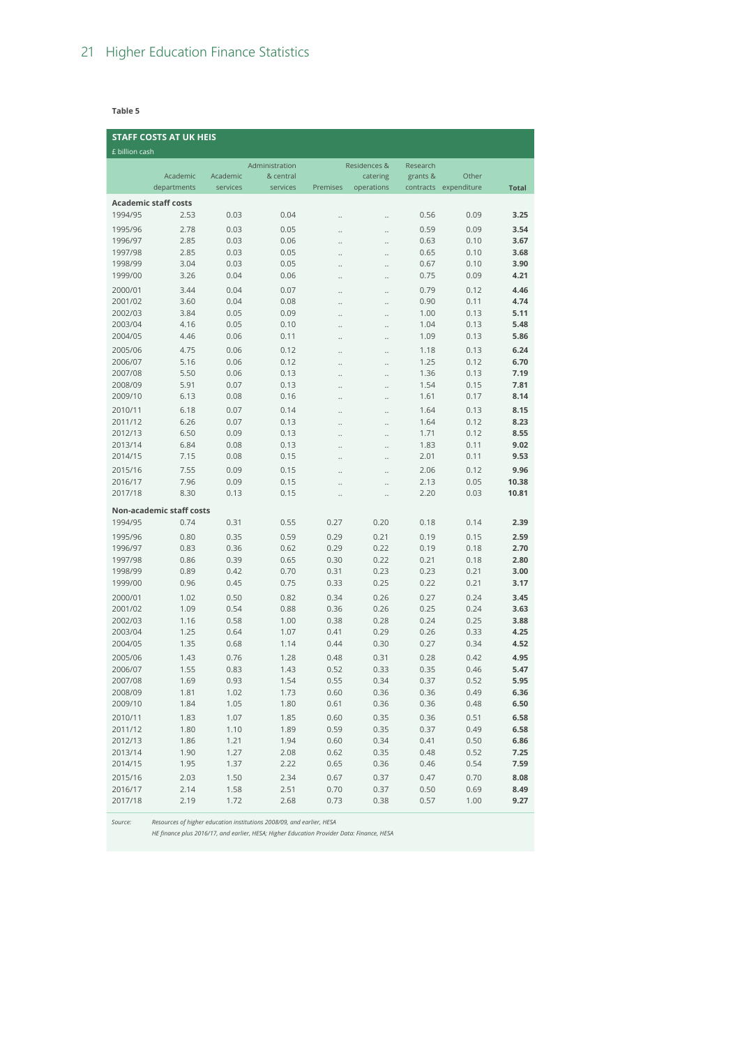**Table 5**

|                    | <b>STAFF COSTS AT UK HEIS</b> |              |                |              |                      |              |                       |              |
|--------------------|-------------------------------|--------------|----------------|--------------|----------------------|--------------|-----------------------|--------------|
| £ billion cash     |                               |              |                |              |                      |              |                       |              |
|                    |                               |              | Administration |              | Residences &         | Research     |                       |              |
|                    | Academic                      | Academic     | & central      |              | catering             | grants &     | Other                 |              |
|                    | departments                   | services     | services       | Premises     | operations           |              | contracts expenditure | <b>Total</b> |
|                    | <b>Academic staff costs</b>   |              |                |              |                      |              |                       |              |
| 1994/95            | 2.53                          | 0.03         | 0.04           |              | $\ldots$             | 0.56         | 0.09                  | 3.25         |
| 1995/96            | 2.78                          | 0.03         | 0.05           |              |                      | 0.59         | 0.09                  | 3.54         |
| 1996/97            | 2.85                          | 0.03         | 0.06           |              | $\ddotsc$            | 0.63         | 0.10                  | 3.67         |
| 1997/98            | 2.85                          | 0.03         | 0.05           |              | $\ddot{\phantom{0}}$ | 0.65         | 0.10                  | 3.68         |
| 1998/99            | 3.04                          | 0.03         | 0.05           |              | $\ddot{\phantom{0}}$ | 0.67         | 0.10                  | 3.90         |
| 1999/00            | 3.26                          | 0.04         | 0.06           |              |                      | 0.75         | 0.09                  | 4.21         |
| 2000/01            | 3.44                          | 0.04         | 0.07           |              | $\ddot{\phantom{0}}$ | 0.79         | 0.12                  | 4.46         |
| 2001/02            | 3.60                          | 0.04         | 0.08           | .,           |                      | 0.90         | 0.11                  | 4.74         |
| 2002/03            | 3.84                          | 0.05         | 0.09           | .,           |                      | 1.00         | 0.13                  | 5.11         |
| 2003/04            | 4.16                          | 0.05         | 0.10           |              |                      | 1.04         | 0.13                  | 5.48         |
| 2004/05            | 4.46                          | 0.06         | 0.11           |              | $\ddot{\phantom{0}}$ | 1.09         | 0.13                  | 5.86         |
| 2005/06            | 4.75                          | 0.06         | 0.12           |              | $\ddotsc$            | 1.18         | 0.13                  | 6.24         |
| 2006/07            | 5.16                          | 0.06         | 0.12           |              | $\ddotsc$            | 1.25         | 0.12                  | 6.70         |
| 2007/08            | 5.50                          | 0.06         | 0.13           |              | $\ddotsc$            | 1.36         | 0.13                  | 7.19         |
| 2008/09            | 5.91                          | 0.07         | 0.13           |              | $\ddot{\phantom{0}}$ | 1.54         | 0.15                  | 7.81         |
| 2009/10            | 6.13                          | 0.08         | 0.16           | .,           |                      | 1.61         | 0.17                  | 8.14         |
| 2010/11            | 6.18                          | 0.07         | 0.14           |              | $\ddotsc$            | 1.64         | 0.13                  | 8.15         |
| 2011/12            | 6.26                          | 0.07         | 0.13           |              | $\ddotsc$            | 1.64         | 0.12                  | 8.23         |
| 2012/13            | 6.50                          | 0.09         | 0.13           | .,           |                      | 1.71         | 0.12                  | 8.55         |
| 2013/14            | 6.84                          | 0.08         | 0.13           | .,           |                      | 1.83         | 0.11                  | 9.02         |
| 2014/15            | 7.15                          | 0.08         | 0.15           | .,           |                      | 2.01         | 0.11                  | 9.53         |
| 2015/16            | 7.55                          | 0.09         | 0.15           |              | $\ddotsc$            | 2.06         | 0.12                  | 9.96         |
| 2016/17            | 7.96                          | 0.09         | 0.15           |              |                      | 2.13         | 0.05                  | 10.38        |
| 2017/18            | 8.30                          | 0.13         | 0.15           | .,           |                      | 2.20         | 0.03                  | 10.81        |
|                    | Non-academic staff costs      |              |                |              |                      |              |                       |              |
| 1994/95            | 0.74                          | 0.31         | 0.55           | 0.27         | 0.20                 | 0.18         | 0.14                  | 2.39         |
|                    |                               |              |                |              |                      |              |                       |              |
| 1995/96            | 0.80                          | 0.35         | 0.59           | 0.29         | 0.21                 | 0.19         | 0.15                  | 2.59         |
| 1996/97            | 0.83                          | 0.36         | 0.62           | 0.29         | 0.22                 | 0.19         | 0.18                  | 2.70         |
| 1997/98<br>1998/99 | 0.86<br>0.89                  | 0.39<br>0.42 | 0.65<br>0.70   | 0.30<br>0.31 | 0.22<br>0.23         | 0.21<br>0.23 | 0.18<br>0.21          | 2.80<br>3.00 |
| 1999/00            | 0.96                          | 0.45         | 0.75           | 0.33         | 0.25                 | 0.22         | 0.21                  | 3.17         |
|                    |                               |              |                |              |                      |              |                       |              |
| 2000/01<br>2001/02 | 1.02                          | 0.50         | 0.82           | 0.34         | 0.26                 | 0.27         | 0.24                  | 3.45         |
| 2002/03            | 1.09                          | 0.54         | 0.88           | 0.36         | 0.26                 | 0.25         | 0.24                  | 3.63         |
| 2003/04            | 1.16<br>1.25                  | 0.58<br>0.64 | 1.00<br>1.07   | 0.38<br>0.41 | 0.28<br>0.29         | 0.24<br>0.26 | 0.25<br>0.33          | 3.88<br>4.25 |
| 2004/05            | 1.35                          | 0.68         | 1.14           | 0.44         | 0.30                 | 0.27         | 0.34                  | 4.52         |
|                    |                               |              |                |              |                      |              |                       |              |
| 2005/06            | 1.43                          | 0.76         | 1.28           | 0.48         | 0.31                 | 0.28         | 0.42                  | 4.95         |
| 2006/07            | 1.55                          | 0.83         | 1.43           | 0.52<br>0.55 | 0.33                 | 0.35         | 0.46<br>0.52          | 5.47         |
| 2007/08<br>2008/09 | 1.69<br>1.81                  | 0.93<br>1.02 | 1.54<br>1.73   | 0.60         | 0.34<br>0.36         | 0.37<br>0.36 | 0.49                  | 5.95<br>6.36 |
| 2009/10            | 1.84                          | 1.05         | 1.80           | 0.61         | 0.36                 | 0.36         | 0.48                  | 6.50         |
|                    |                               |              |                |              |                      |              |                       |              |
| 2010/11<br>2011/12 | 1.83<br>1.80                  | 1.07<br>1.10 | 1.85<br>1.89   | 0.60<br>0.59 | 0.35<br>0.35         | 0.36<br>0.37 | 0.51<br>0.49          | 6.58<br>6.58 |
| 2012/13            | 1.86                          | 1.21         | 1.94           | 0.60         | 0.34                 | 0.41         | 0.50                  | 6.86         |
| 2013/14            | 1.90                          | 1.27         | 2.08           | 0.62         | 0.35                 | 0.48         | 0.52                  | 7.25         |
| 2014/15            | 1.95                          | 1.37         | 2.22           | 0.65         | 0.36                 | 0.46         | 0.54                  | 7.59         |
| 2015/16            | 2.03                          | 1.50         | 2.34           | 0.67         | 0.37                 | 0.47         | 0.70                  | 8.08         |
| 2016/17            | 2.14                          | 1.58         | 2.51           | 0.70         | 0.37                 | 0.50         | 0.69                  | 8.49         |
| 2017/18            | 2.19                          | 1.72         | 2.68           | 0.73         | 0.38                 | 0.57         | 1.00                  | 9.27         |
|                    |                               |              |                |              |                      |              |                       |              |

*Source: Resources of higher education institutions 2008/09, and earlier, HESA*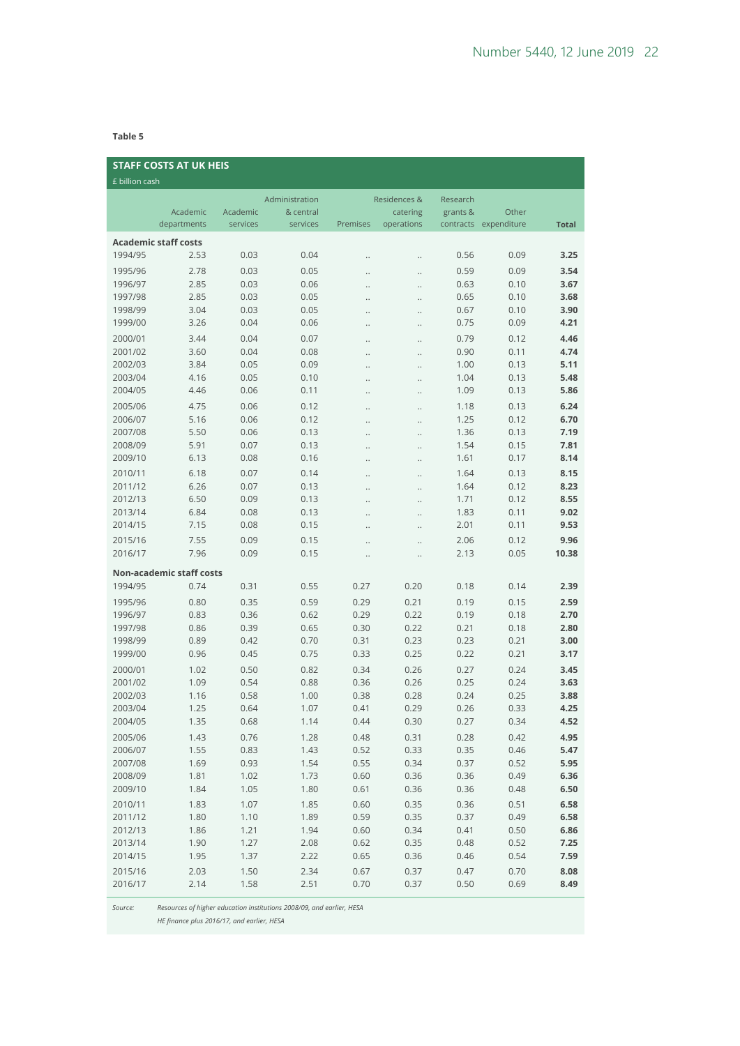**Table 5**

| <b>STAFF COSTS AT UK HEIS</b> |                                 |          |                |                      |              |          |                       |              |  |  |
|-------------------------------|---------------------------------|----------|----------------|----------------------|--------------|----------|-----------------------|--------------|--|--|
| £ billion cash                |                                 |          |                |                      |              |          |                       |              |  |  |
|                               |                                 |          | Administration |                      | Residences & | Research |                       |              |  |  |
|                               | Academic                        | Academic | & central      |                      | catering     | grants & | Other                 |              |  |  |
|                               | departments                     | services | services       | Premises             | operations   |          | contracts expenditure | <b>Total</b> |  |  |
|                               | <b>Academic staff costs</b>     |          |                |                      |              |          |                       |              |  |  |
| 1994/95                       | 2.53                            | 0.03     | 0.04           |                      |              | 0.56     | 0.09                  | 3.25         |  |  |
| 1995/96                       | 2.78                            | 0.03     | 0.05           | $\ddotsc$            | $\ddotsc$    | 0.59     | 0.09                  | 3.54         |  |  |
| 1996/97                       | 2.85                            | 0.03     | 0.06           | $\ddot{\phantom{0}}$ |              | 0.63     | 0.10                  | 3.67         |  |  |
| 1997/98                       | 2.85                            | 0.03     | 0.05           | $\ddot{\phantom{0}}$ |              | 0.65     | 0.10                  | 3.68         |  |  |
| 1998/99                       | 3.04                            | 0.03     | 0.05           |                      |              | 0.67     | 0.10                  | 3.90         |  |  |
| 1999/00                       | 3.26                            | 0.04     | 0.06           |                      |              | 0.75     | 0.09                  | 4.21         |  |  |
| 2000/01                       | 3.44                            | 0.04     | 0.07           |                      | $\ldots$     | 0.79     | 0.12                  | 4.46         |  |  |
| 2001/02                       | 3.60                            | 0.04     | 0.08           |                      | $\ddotsc$    | 0.90     | 0.11                  | 4.74         |  |  |
| 2002/03                       | 3.84                            | 0.05     | 0.09           | $\cdot$              | $\ddotsc$    | 1.00     | 0.13                  | 5.11         |  |  |
| 2003/04                       | 4.16                            | 0.05     | 0.10           | $\ddotsc$            | $\ddotsc$    | 1.04     | 0.13                  | 5.48         |  |  |
| 2004/05                       | 4.46                            | 0.06     | 0.11           |                      | $\ddotsc$    | 1.09     | 0.13                  | 5.86         |  |  |
| 2005/06                       | 4.75                            | 0.06     | 0.12           |                      |              | 1.18     | 0.13                  | 6.24         |  |  |
| 2006/07                       | 5.16                            | 0.06     | 0.12           |                      |              | 1.25     | 0.12                  | 6.70         |  |  |
| 2007/08                       | 5.50                            | 0.06     | 0.13           | $\ddot{\phantom{0}}$ | $\ddotsc$    | 1.36     | 0.13                  | 7.19         |  |  |
| 2008/09                       | 5.91                            | 0.07     | 0.13           |                      |              | 1.54     | 0.15                  | 7.81         |  |  |
| 2009/10                       | 6.13                            | 0.08     | 0.16           | $\ddot{\phantom{0}}$ | $\ddotsc$    | 1.61     | 0.17                  | 8.14         |  |  |
| 2010/11                       | 6.18                            | 0.07     | 0.14           |                      |              | 1.64     | 0.13                  | 8.15         |  |  |
| 2011/12                       | 6.26                            | 0.07     | 0.13           |                      |              | 1.64     | 0.12                  | 8.23         |  |  |
| 2012/13                       | 6.50                            | 0.09     | 0.13           | $\ddot{\phantom{0}}$ | $\ddotsc$    | 1.71     | 0.12                  | 8.55         |  |  |
| 2013/14                       | 6.84                            | 0.08     | 0.13           |                      | $\ldots$     | 1.83     | 0.11                  | 9.02         |  |  |
| 2014/15                       | 7.15                            | 0.08     | 0.15           |                      | $\ldots$     | 2.01     | 0.11                  | 9.53         |  |  |
| 2015/16                       | 7.55                            | 0.09     | 0.15           |                      |              | 2.06     | 0.12                  | 9.96         |  |  |
| 2016/17                       | 7.96                            | 0.09     | 0.15           | $\ddot{\phantom{0}}$ | $\ddots$     | 2.13     | 0.05                  | 10.38        |  |  |
|                               | <b>Non-academic staff costs</b> |          |                |                      |              |          |                       |              |  |  |
| 1994/95                       | 0.74                            | 0.31     | 0.55           | 0.27                 | 0.20         | 0.18     | 0.14                  | 2.39         |  |  |
| 1995/96                       | 0.80                            | 0.35     | 0.59           | 0.29                 | 0.21         | 0.19     | 0.15                  | 2.59         |  |  |
| 1996/97                       | 0.83                            | 0.36     | 0.62           | 0.29                 | 0.22         | 0.19     | 0.18                  | 2.70         |  |  |
| 1997/98                       | 0.86                            | 0.39     | 0.65           | 0.30                 | 0.22         | 0.21     | 0.18                  | 2.80         |  |  |
| 1998/99                       | 0.89                            | 0.42     | 0.70           | 0.31                 | 0.23         | 0.23     | 0.21                  | 3.00         |  |  |
| 1999/00                       | 0.96                            | 0.45     | 0.75           | 0.33                 | 0.25         | 0.22     | 0.21                  | 3.17         |  |  |
| 2000/01                       | 1.02                            | 0.50     | 0.82           | 0.34                 | 0.26         | 0.27     | 0.24                  | 3.45         |  |  |
| 2001/02                       | 1.09                            | 0.54     | 0.88           | 0.36                 | 0.26         | 0.25     | 0.24                  | 3.63         |  |  |
| 2002/03                       | 1.16                            | 0.58     | 1.00           | 0.38                 | 0.28         | 0.24     | 0.25                  | 3.88         |  |  |
| 2003/04                       | 1.25                            | 0.64     | 1.07           | 0.41                 | 0.29         | 0.26     | 0.33                  | 4.25         |  |  |
| 2004/05                       | 1.35                            | 0.68     | 1.14           | 0.44                 | 0.30         | 0.27     | 0.34                  | 4.52         |  |  |
| 2005/06                       | 1.43                            | 0.76     | 1.28           | 0.48                 | 0.31         | 0.28     | 0.42                  | 4.95         |  |  |
| 2006/07                       | 1.55                            | 0.83     | 1.43           | 0.52                 | 0.33         | 0.35     | 0.46                  | 5.47         |  |  |
| 2007/08                       | 1.69                            | 0.93     | 1.54           | 0.55                 | 0.34         | 0.37     | 0.52                  | 5.95         |  |  |
| 2008/09                       | 1.81                            | 1.02     | 1.73           | 0.60                 | 0.36         | 0.36     | 0.49                  | 6.36         |  |  |
| 2009/10                       | 1.84                            | 1.05     | 1.80           | 0.61                 | 0.36         | 0.36     | 0.48                  | 6.50         |  |  |
| 2010/11                       | 1.83                            | 1.07     | 1.85           | 0.60                 | 0.35         | 0.36     | 0.51                  | 6.58         |  |  |
| 2011/12                       | 1.80                            | 1.10     | 1.89           | 0.59                 | 0.35         | 0.37     | 0.49                  | 6.58         |  |  |
| 2012/13                       | 1.86                            | 1.21     | 1.94           | 0.60                 | 0.34         | 0.41     | 0.50                  | 6.86         |  |  |
| 2013/14                       | 1.90                            | 1.27     | 2.08           | 0.62                 | 0.35         | 0.48     | 0.52                  | 7.25         |  |  |
| 2014/15                       | 1.95                            | 1.37     | 2.22           | 0.65                 | 0.36         | 0.46     | 0.54                  | 7.59         |  |  |
| 2015/16                       | 2.03                            | 1.50     | 2.34           | 0.67                 | 0.37         | 0.47     | 0.70                  | 8.08         |  |  |
| 2016/17                       | 2.14                            | 1.58     | 2.51           | 0.70                 | 0.37         | 0.50     | 0.69                  | 8.49         |  |  |

*Source: Resources of higher education institutions 2008/09, and earlier, HESA*

*HE finance plus 2016/17, and earlier, HESA*